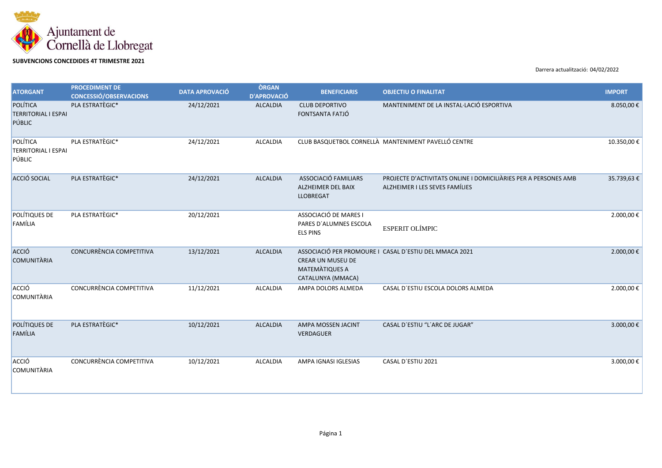

## **SUBVENCIONS CONCEDIDES 4T TRIMESTRE 2021**

Darrera actualització: 04/02/2022

| <b>ATORGANT</b>                                  | <b>PROCEDIMENT DE</b><br><b>CONCESSIÓ/OBSERVACIONS</b> | <b>DATA APROVACIÓ</b> | <b>ÒRGAN</b><br><b>D'APROVACIÓ</b> | <b>BENEFICIARIS</b>                                                | <b>OBJECTIU O FINALITAT</b>                                                                       | <b>IMPORT</b> |
|--------------------------------------------------|--------------------------------------------------------|-----------------------|------------------------------------|--------------------------------------------------------------------|---------------------------------------------------------------------------------------------------|---------------|
| POLÍTICA<br><b>TERRITORIAL I ESPAI</b><br>PÚBLIC | PLA ESTRATÈGIC*                                        | 24/12/2021            | <b>ALCALDIA</b>                    | <b>CLUB DEPORTIVO</b><br>FONTSANTA FATJÓ                           | MANTENIMENT DE LA INSTAL·LACIÓ ESPORTIVA                                                          | 8.050,00€     |
| POLÍTICA<br><b>TERRITORIAL I ESPAI</b><br>PÚBLIC | PLA ESTRATÈGIC*                                        | 24/12/2021            | ALCALDIA                           |                                                                    | CLUB BASQUETBOL CORNELLÀ MANTENIMENT PAVELLÓ CENTRE                                               | 10.350,00€    |
| ACCIÓ SOCIAL                                     | PLA ESTRATÈGIC*                                        | 24/12/2021            | <b>ALCALDIA</b>                    | ASSOCIACIÓ FAMILIARS<br>ALZHEIMER DEL BAIX<br><b>LLOBREGAT</b>     | PROJECTE D'ACTIVITATS ONLINE I DOMICILIÀRIES PER A PERSONES AMB<br>ALZHEIMER I LES SEVES FAMÍLIES | 35.739,63€    |
| POLÍTIQUES DE<br>FAMÍLIA                         | PLA ESTRATÈGIC*                                        | 20/12/2021            |                                    | ASSOCIACIÓ DE MARES I<br>PARES D'ALUMNES ESCOLA<br><b>ELS PINS</b> | <b>ESPERIT OLÍMPIC</b>                                                                            | 2.000,00€     |
| ACCIÓ<br><b>COMUNITÀRIA</b>                      | CONCURRÈNCIA COMPETITIVA                               | 13/12/2021            | <b>ALCALDIA</b>                    | CREAR UN MUSEU DE<br><b>MATEMATIQUES A</b><br>CATALUNYA (MMACA)    | ASSOCIACIÓ PER PROMOURE I CASAL D'ESTIU DEL MMACA 2021                                            | 2.000,00€     |
| ACCIÓ<br><b>COMUNITÀRIA</b>                      | CONCURRÈNCIA COMPETITIVA                               | 11/12/2021            | <b>ALCALDIA</b>                    | AMPA DOLORS ALMEDA                                                 | CASAL D'ESTIU ESCOLA DOLORS ALMEDA                                                                | 2.000,00 €    |
| POLÍTIQUES DE<br>FAMÍLIA                         | PLA ESTRATÈGIC*                                        | 10/12/2021            | <b>ALCALDIA</b>                    | AMPA MOSSEN JACINT<br><b>VERDAGUER</b>                             | CASAL D'ESTIU "L'ARC DE JUGAR"                                                                    | 3.000,00€     |
| ACCIÓ<br><b>COMUNITÀRIA</b>                      | CONCURRÈNCIA COMPETITIVA                               | 10/12/2021            | ALCALDIA                           | AMPA IGNASI IGLESIAS                                               | CASAL D'ESTIU 2021                                                                                | 3.000,00€     |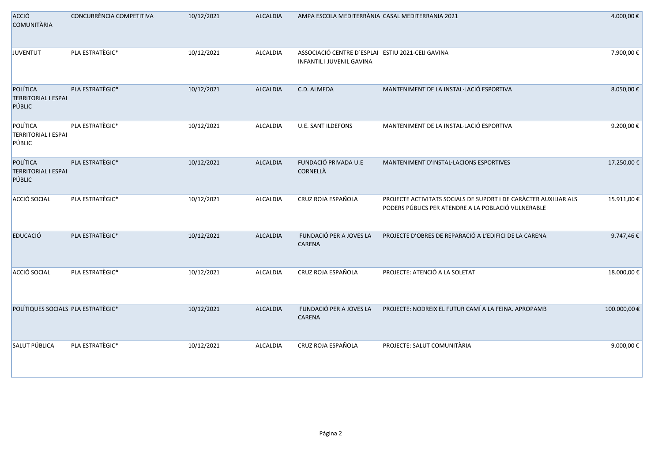| ACCIÓ<br><b>COMUNITÀRIA</b>                      | CONCURRÈNCIA COMPETITIVA | 10/12/2021 | ALCALDIA        | AMPA ESCOLA MEDITERRÀNIA CASAL MEDITERRANIA 2021                               |                                                                                                                         | 4.000,00 €  |
|--------------------------------------------------|--------------------------|------------|-----------------|--------------------------------------------------------------------------------|-------------------------------------------------------------------------------------------------------------------------|-------------|
| <b>JUVENTUT</b>                                  | PLA ESTRATÈGIC*          | 10/12/2021 | ALCALDIA        | ASSOCIACIÓ CENTRE D'ESPLAI ESTIU 2021-CEIJ GAVINA<br>INFANTIL I JUVENIL GAVINA |                                                                                                                         | 7.900,00€   |
| POLÍTICA<br><b>TERRITORIAL I ESPAI</b><br>PÚBLIC | PLA ESTRATÈGIC*          | 10/12/2021 | <b>ALCALDIA</b> | C.D. ALMEDA                                                                    | MANTENIMENT DE LA INSTAL·LACIÓ ESPORTIVA                                                                                | 8.050,00€   |
| POLÍTICA<br><b>TERRITORIAL I ESPAI</b><br>PÚBLIC | PLA ESTRATÈGIC*          | 10/12/2021 | ALCALDIA        | U.E. SANT ILDEFONS                                                             | MANTENIMENT DE LA INSTAL·LACIÓ ESPORTIVA                                                                                | 9.200,00€   |
| POLÍTICA<br><b>TERRITORIAL I ESPAI</b><br>PÚBLIC | PLA ESTRATÈGIC*          | 10/12/2021 | ALCALDIA        | FUNDACIÓ PRIVADA U.E<br>CORNELLÀ                                               | MANTENIMENT D'INSTAL·LACIONS ESPORTIVES                                                                                 | 17.250,00€  |
| ACCIÓ SOCIAL                                     | PLA ESTRATÈGIC*          | 10/12/2021 | ALCALDIA        | CRUZ ROJA ESPAÑOLA                                                             | PROJECTE ACTIVITATS SOCIALS DE SUPORT I DE CARÀCTER AUXILIAR ALS<br>PODERS PÚBLICS PER ATENDRE A LA POBLACIÓ VULNERABLE | 15.911,00 € |
| <b>EDUCACIÓ</b>                                  | PLA ESTRATÈGIC*          | 10/12/2021 | <b>ALCALDIA</b> | FUNDACIÓ PER A JOVES LA<br>CARENA                                              | PROJECTE D'OBRES DE REPARACIÓ A L'EDIFICI DE LA CARENA                                                                  | 9.747,46€   |
| ACCIÓ SOCIAL                                     | PLA ESTRATÈGIC*          | 10/12/2021 | ALCALDIA        | CRUZ ROJA ESPAÑOLA                                                             | PROJECTE: ATENCIÓ A LA SOLETAT                                                                                          | 18.000,00€  |
| POLÍTIQUES SOCIALS PLA ESTRATÈGIC*               |                          | 10/12/2021 | <b>ALCALDIA</b> | FUNDACIÓ PER A JOVES LA<br>CARENA                                              | PROJECTE: NODREIX EL FUTUR CAMÍ A LA FEINA. APROPAMB                                                                    | 100.000,00€ |
| SALUT PÚBLICA                                    | PLA ESTRATÈGIC*          | 10/12/2021 | <b>ALCALDIA</b> | CRUZ ROJA ESPAÑOLA                                                             | PROJECTE: SALUT COMUNITÀRIA                                                                                             | 9.000,00€   |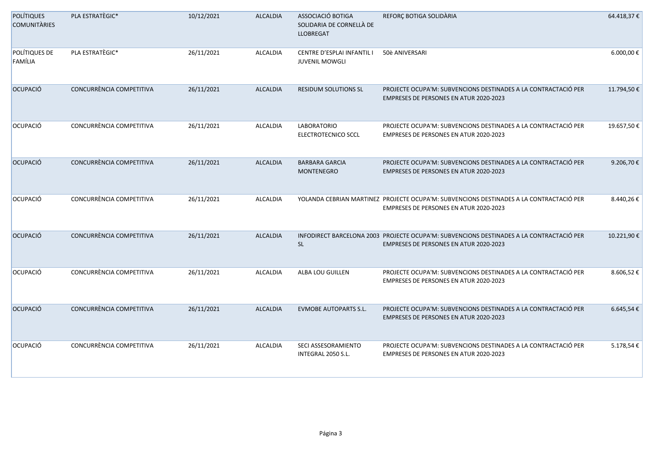| <b>POLÍTIQUES</b><br><b>COMUNITÀRIES</b> | PLA ESTRATÈGIC*          | 10/12/2021 | <b>ALCALDIA</b> | ASSOCIACIÓ BOTIGA<br>SOLIDARIA DE CORNELLÀ DE<br><b>LLOBREGAT</b> | REFORÇ BOTIGA SOLIDARIA                                                                                                                   | 64.418,37€ |
|------------------------------------------|--------------------------|------------|-----------------|-------------------------------------------------------------------|-------------------------------------------------------------------------------------------------------------------------------------------|------------|
| POLÍTIQUES DE<br>FAMÍLIA                 | PLA ESTRATÈGIC*          | 26/11/2021 | <b>ALCALDIA</b> | CENTRE D'ESPLAI INFANTIL I<br><b>JUVENIL MOWGLI</b>               | 50è ANIVERSARI                                                                                                                            | 6.000,00€  |
| OCUPACIÓ                                 | CONCURRÈNCIA COMPETITIVA | 26/11/2021 | <b>ALCALDIA</b> | <b>RESIDUM SOLUTIONS SL</b>                                       | PROJECTE OCUPA'M: SUBVENCIONS DESTINADES A LA CONTRACTACIÓ PER<br>EMPRESES DE PERSONES EN ATUR 2020-2023                                  | 11.794,50€ |
| OCUPACIÓ                                 | CONCURRÈNCIA COMPETITIVA | 26/11/2021 | <b>ALCALDIA</b> | <b>LABORATORIO</b><br>ELECTROTECNICO SCCL                         | PROJECTE OCUPA'M: SUBVENCIONS DESTINADES A LA CONTRACTACIÓ PER<br>EMPRESES DE PERSONES EN ATUR 2020-2023                                  | 19.657,50€ |
| OCUPACIÓ                                 | CONCURRÈNCIA COMPETITIVA | 26/11/2021 | <b>ALCALDIA</b> | <b>BARBARA GARCIA</b><br><b>MONTENEGRO</b>                        | PROJECTE OCUPA'M: SUBVENCIONS DESTINADES A LA CONTRACTACIÓ PER<br><b>EMPRESES DE PERSONES EN ATUR 2020-2023</b>                           | 9.206,70€  |
| OCUPACIÓ                                 | CONCURRÈNCIA COMPETITIVA | 26/11/2021 | <b>ALCALDIA</b> |                                                                   | YOLANDA CEBRIAN MARTINEZ PROJECTE OCUPA'M: SUBVENCIONS DESTINADES A LA CONTRACTACIÓ PER<br>EMPRESES DE PERSONES EN ATUR 2020-2023         | 8.440,26€  |
| OCUPACIÓ                                 | CONCURRÈNCIA COMPETITIVA | 26/11/2021 | <b>ALCALDIA</b> | <b>SL</b>                                                         | INFODIRECT BARCELONA 2003 PROJECTE OCUPA'M: SUBVENCIONS DESTINADES A LA CONTRACTACIÓ PER<br><b>EMPRESES DE PERSONES EN ATUR 2020-2023</b> | 10.221,90€ |
| OCUPACIÓ                                 | CONCURRÈNCIA COMPETITIVA | 26/11/2021 | <b>ALCALDIA</b> | ALBA LOU GUILLEN                                                  | PROJECTE OCUPA'M: SUBVENCIONS DESTINADES A LA CONTRACTACIÓ PER<br>EMPRESES DE PERSONES EN ATUR 2020-2023                                  | 8.606,52€  |
| OCUPACIÓ                                 | CONCURRÈNCIA COMPETITIVA | 26/11/2021 | <b>ALCALDIA</b> | <b>EVMOBE AUTOPARTS S.L.</b>                                      | PROJECTE OCUPA'M: SUBVENCIONS DESTINADES A LA CONTRACTACIÓ PER<br>EMPRESES DE PERSONES EN ATUR 2020-2023                                  | 6.645,54€  |
| <b>OCUPACIÓ</b>                          | CONCURRÈNCIA COMPETITIVA | 26/11/2021 | ALCALDIA        | SECI ASSESORAMIENTO<br>INTEGRAL 2050 S.L.                         | PROJECTE OCUPA'M: SUBVENCIONS DESTINADES A LA CONTRACTACIÓ PER<br>EMPRESES DE PERSONES EN ATUR 2020-2023                                  | 5.178,54€  |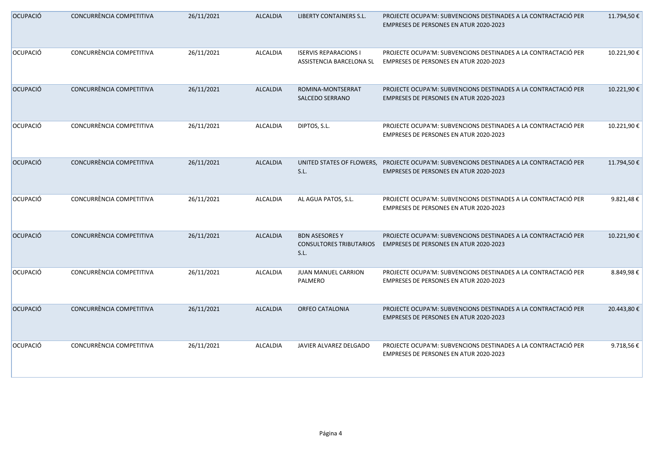| OCUPACIÓ | CONCURRÈNCIA COMPETITIVA | 26/11/2021 | ALCALDIA        | LIBERTY CONTAINERS S.L.                                         | PROJECTE OCUPA'M: SUBVENCIONS DESTINADES A LA CONTRACTACIÓ PER<br><b>EMPRESES DE PERSONES EN ATUR 2020-2023</b>                    | 11.794,50€  |
|----------|--------------------------|------------|-----------------|-----------------------------------------------------------------|------------------------------------------------------------------------------------------------------------------------------------|-------------|
| OCUPACIÓ | CONCURRÈNCIA COMPETITIVA | 26/11/2021 | ALCALDIA        | <b>ISERVIS REPARACIONS I</b><br>ASSISTENCIA BARCELONA SL        | PROJECTE OCUPA'M: SUBVENCIONS DESTINADES A LA CONTRACTACIÓ PER<br>EMPRESES DE PERSONES EN ATUR 2020-2023                           | 10.221,90€  |
| OCUPACIÓ | CONCURRÈNCIA COMPETITIVA | 26/11/2021 | <b>ALCALDIA</b> | ROMINA-MONTSERRAT<br><b>SALCEDO SERRANO</b>                     | PROJECTE OCUPA'M: SUBVENCIONS DESTINADES A LA CONTRACTACIÓ PER<br>EMPRESES DE PERSONES EN ATUR 2020-2023                           | 10.221,90€  |
| OCUPACIÓ | CONCURRÈNCIA COMPETITIVA | 26/11/2021 | ALCALDIA        | DIPTOS, S.L.                                                    | PROJECTE OCUPA'M: SUBVENCIONS DESTINADES A LA CONTRACTACIÓ PER<br>EMPRESES DE PERSONES EN ATUR 2020-2023                           | 10.221,90€  |
| OCUPACIÓ | CONCURRÈNCIA COMPETITIVA | 26/11/2021 | <b>ALCALDIA</b> | S.L.                                                            | UNITED STATES OF FLOWERS, PROJECTE OCUPA'M: SUBVENCIONS DESTINADES A LA CONTRACTACIÓ PER<br>EMPRESES DE PERSONES EN ATUR 2020-2023 | 11.794,50€  |
| OCUPACIÓ | CONCURRÈNCIA COMPETITIVA | 26/11/2021 | ALCALDIA        | AL AGUA PATOS, S.L.                                             | PROJECTE OCUPA'M: SUBVENCIONS DESTINADES A LA CONTRACTACIÓ PER<br>EMPRESES DE PERSONES EN ATUR 2020-2023                           | 9.821,48€   |
| OCUPACIÓ | CONCURRÈNCIA COMPETITIVA | 26/11/2021 | <b>ALCALDIA</b> | <b>BDN ASESORES Y</b><br><b>CONSULTORES TRIBUTARIOS</b><br>S.L. | PROJECTE OCUPA'M: SUBVENCIONS DESTINADES A LA CONTRACTACIÓ PER<br><b>EMPRESES DE PERSONES EN ATUR 2020-2023</b>                    | 10.221,90€  |
| OCUPACIÓ | CONCURRÈNCIA COMPETITIVA | 26/11/2021 | ALCALDIA        | JUAN MANUEL CARRION<br>PALMERO                                  | PROJECTE OCUPA'M: SUBVENCIONS DESTINADES A LA CONTRACTACIÓ PER<br>EMPRESES DE PERSONES EN ATUR 2020-2023                           | 8.849,98€   |
| OCUPACIÓ | CONCURRÈNCIA COMPETITIVA | 26/11/2021 | <b>ALCALDIA</b> | <b>ORFEO CATALONIA</b>                                          | PROJECTE OCUPA'M: SUBVENCIONS DESTINADES A LA CONTRACTACIÓ PER<br>EMPRESES DE PERSONES EN ATUR 2020-2023                           | 20.443,80 € |
| OCUPACIÓ | CONCURRÈNCIA COMPETITIVA | 26/11/2021 | ALCALDIA        | JAVIER ALVAREZ DELGADO                                          | PROJECTE OCUPA'M: SUBVENCIONS DESTINADES A LA CONTRACTACIÓ PER<br>EMPRESES DE PERSONES EN ATUR 2020-2023                           | 9.718,56€   |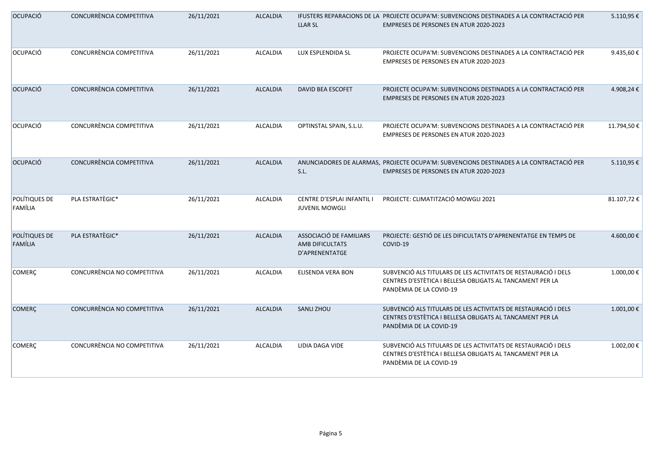| OCUPACIÓ                 | CONCURRÈNCIA COMPETITIVA    | 26/11/2021 | <b>ALCALDIA</b> | <b>LLAR SL</b>                                               | IFUSTERS REPARACIONS DE LA PROJECTE OCUPA'M: SUBVENCIONS DESTINADES A LA CONTRACTACIÓ PER<br><b>EMPRESES DE PERSONES EN ATUR 2020-2023</b>             | 5.110,95€  |
|--------------------------|-----------------------------|------------|-----------------|--------------------------------------------------------------|--------------------------------------------------------------------------------------------------------------------------------------------------------|------------|
| OCUPACIÓ                 | CONCURRÈNCIA COMPETITIVA    | 26/11/2021 | <b>ALCALDIA</b> | LUX ESPLENDIDA SL                                            | PROJECTE OCUPA'M: SUBVENCIONS DESTINADES A LA CONTRACTACIÓ PER<br>EMPRESES DE PERSONES EN ATUR 2020-2023                                               | 9.435,60€  |
| OCUPACIÓ                 | CONCURRÈNCIA COMPETITIVA    | 26/11/2021 | <b>ALCALDIA</b> | DAVID BEA ESCOFET                                            | PROJECTE OCUPA'M: SUBVENCIONS DESTINADES A LA CONTRACTACIÓ PER<br>EMPRESES DE PERSONES EN ATUR 2020-2023                                               | 4.908,24€  |
| OCUPACIÓ                 | CONCURRÈNCIA COMPETITIVA    | 26/11/2021 | <b>ALCALDIA</b> | OPTINSTAL SPAIN, S.L.U.                                      | PROJECTE OCUPA'M: SUBVENCIONS DESTINADES A LA CONTRACTACIÓ PER<br>EMPRESES DE PERSONES EN ATUR 2020-2023                                               | 11.794,50€ |
| OCUPACIÓ                 | CONCURRÈNCIA COMPETITIVA    | 26/11/2021 | <b>ALCALDIA</b> | S.L.                                                         | ANUNCIADORES DE ALARMAS, PROJECTE OCUPA'M: SUBVENCIONS DESTINADES A LA CONTRACTACIÓ PER<br><b>EMPRESES DE PERSONES EN ATUR 2020-2023</b>               | 5.110,95€  |
| POLÍTIQUES DE<br>FAMÍLIA | PLA ESTRATÈGIC*             | 26/11/2021 | <b>ALCALDIA</b> | CENTRE D'ESPLAI INFANTIL I<br><b>JUVENIL MOWGLI</b>          | PROJECTE: CLIMATITZACIÓ MOWGLI 2021                                                                                                                    | 81.107,72€ |
| POLÍTIQUES DE<br>FAMÍLIA | PLA ESTRATÈGIC*             | 26/11/2021 | <b>ALCALDIA</b> | ASSOCIACIÓ DE FAMILIARS<br>AMB DIFICULTATS<br>D'APRENENTATGE | PROJECTE: GESTIÓ DE LES DIFICULTATS D'APRENENTATGE EN TEMPS DE<br>COVID-19                                                                             | 4.600,00€  |
| <b>COMERÇ</b>            | CONCURRÈNCIA NO COMPETITIVA | 26/11/2021 | <b>ALCALDIA</b> | ELISENDA VERA BON                                            | SUBVENCIÓ ALS TITULARS DE LES ACTIVITATS DE RESTAURACIÓ I DELS<br>CENTRES D'ESTÈTICA I BELLESA OBLIGATS AL TANCAMENT PER LA<br>PANDÈMIA DE LA COVID-19 | 1.000,00€  |
| <b>COMERÇ</b>            | CONCURRÈNCIA NO COMPETITIVA | 26/11/2021 | <b>ALCALDIA</b> | <b>SANLI ZHOU</b>                                            | SUBVENCIÓ ALS TITULARS DE LES ACTIVITATS DE RESTAURACIÓ I DELS<br>CENTRES D'ESTÈTICA I BELLESA OBLIGATS AL TANCAMENT PER LA<br>PANDÈMIA DE LA COVID-19 | 1.001,00€  |
| <b>COMERÇ</b>            | CONCURRÈNCIA NO COMPETITIVA | 26/11/2021 | ALCALDIA        | LIDIA DAGA VIDE                                              | SUBVENCIÓ ALS TITULARS DE LES ACTIVITATS DE RESTAURACIÓ I DELS<br>CENTRES D'ESTÈTICA I BELLESA OBLIGATS AL TANCAMENT PER LA<br>PANDÈMIA DE LA COVID-19 | 1.002,00 € |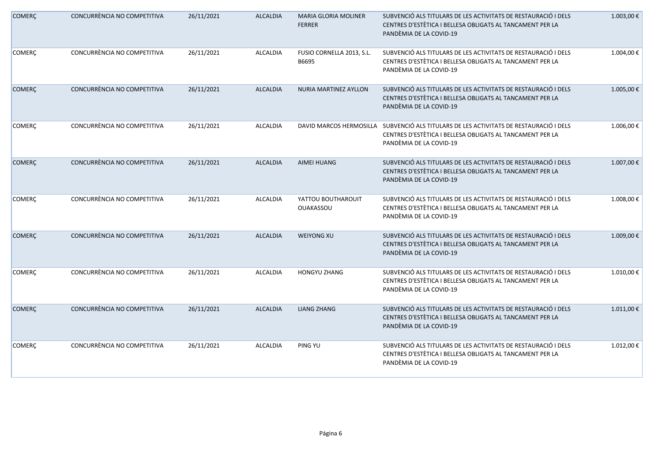| <b>COMERÇ</b> | CONCURRÈNCIA NO COMPETITIVA | 26/11/2021 | <b>ALCALDIA</b> | <b>MARIA GLORIA MOLINER</b><br><b>FERRER</b> | SUBVENCIÓ ALS TITULARS DE LES ACTIVITATS DE RESTAURACIÓ I DELS<br>CENTRES D'ESTÈTICA I BELLESA OBLIGATS AL TANCAMENT PER LA<br>PANDÈMIA DE LA COVID-19 | 1.003,00€  |
|---------------|-----------------------------|------------|-----------------|----------------------------------------------|--------------------------------------------------------------------------------------------------------------------------------------------------------|------------|
| <b>COMERÇ</b> | CONCURRÈNCIA NO COMPETITIVA | 26/11/2021 | ALCALDIA        | FUSIO CORNELLA 2013, S.L.<br>B6695           | SUBVENCIÓ ALS TITULARS DE LES ACTIVITATS DE RESTAURACIÓ I DELS<br>CENTRES D'ESTÈTICA I BELLESA OBLIGATS AL TANCAMENT PER LA<br>PANDÈMIA DE LA COVID-19 | 1.004,00€  |
| <b>COMERÇ</b> | CONCURRÈNCIA NO COMPETITIVA | 26/11/2021 | <b>ALCALDIA</b> | NURIA MARTINEZ AYLLON                        | SUBVENCIÓ ALS TITULARS DE LES ACTIVITATS DE RESTAURACIÓ I DELS<br>CENTRES D'ESTÈTICA I BELLESA OBLIGATS AL TANCAMENT PER LA<br>PANDÈMIA DE LA COVID-19 | 1.005,00€  |
| <b>COMERC</b> | CONCURRÈNCIA NO COMPETITIVA | 26/11/2021 | ALCALDIA        | DAVID MARCOS HERMOSILLA                      | SUBVENCIÓ ALS TITULARS DE LES ACTIVITATS DE RESTAURACIÓ I DELS<br>CENTRES D'ESTÈTICA I BELLESA OBLIGATS AL TANCAMENT PER LA<br>PANDÈMIA DE LA COVID-19 | 1.006,00€  |
| <b>COMERÇ</b> | CONCURRÈNCIA NO COMPETITIVA | 26/11/2021 | <b>ALCALDIA</b> | <b>AIMEI HUANG</b>                           | SUBVENCIÓ ALS TITULARS DE LES ACTIVITATS DE RESTAURACIÓ I DELS<br>CENTRES D'ESTÈTICA I BELLESA OBLIGATS AL TANCAMENT PER LA<br>PANDÈMIA DE LA COVID-19 | 1.007,00€  |
| <b>COMERÇ</b> | CONCURRÈNCIA NO COMPETITIVA | 26/11/2021 | ALCALDIA        | YATTOU BOUTHAROUIT<br><b>OUAKASSOU</b>       | SUBVENCIÓ ALS TITULARS DE LES ACTIVITATS DE RESTAURACIÓ I DELS<br>CENTRES D'ESTÈTICA I BELLESA OBLIGATS AL TANCAMENT PER LA<br>PANDÈMIA DE LA COVID-19 | 1.008,00€  |
| <b>COMERC</b> | CONCURRÈNCIA NO COMPETITIVA | 26/11/2021 | ALCALDIA        | <b>WEIYONG XU</b>                            | SUBVENCIÓ ALS TITULARS DE LES ACTIVITATS DE RESTAURACIÓ I DELS<br>CENTRES D'ESTÈTICA I BELLESA OBLIGATS AL TANCAMENT PER LA<br>PANDÈMIA DE LA COVID-19 | 1.009,00€  |
| <b>COMERÇ</b> | CONCURRÈNCIA NO COMPETITIVA | 26/11/2021 | ALCALDIA        | <b>HONGYU ZHANG</b>                          | SUBVENCIÓ ALS TITULARS DE LES ACTIVITATS DE RESTAURACIÓ I DELS<br>CENTRES D'ESTÈTICA I BELLESA OBLIGATS AL TANCAMENT PER LA<br>PANDÈMIA DE LA COVID-19 | 1.010,00€  |
| <b>COMERÇ</b> | CONCURRÈNCIA NO COMPETITIVA | 26/11/2021 | <b>ALCALDIA</b> | <b>LIANG ZHANG</b>                           | SUBVENCIÓ ALS TITULARS DE LES ACTIVITATS DE RESTAURACIÓ I DELS<br>CENTRES D'ESTÈTICA I BELLESA OBLIGATS AL TANCAMENT PER LA<br>PANDÈMIA DE LA COVID-19 | 1.011,00 € |
| <b>COMERÇ</b> | CONCURRÈNCIA NO COMPETITIVA | 26/11/2021 | ALCALDIA        | PING YU                                      | SUBVENCIÓ ALS TITULARS DE LES ACTIVITATS DE RESTAURACIÓ I DELS<br>CENTRES D'ESTÈTICA I BELLESA OBLIGATS AL TANCAMENT PER LA<br>PANDÈMIA DE LA COVID-19 | 1.012,00 € |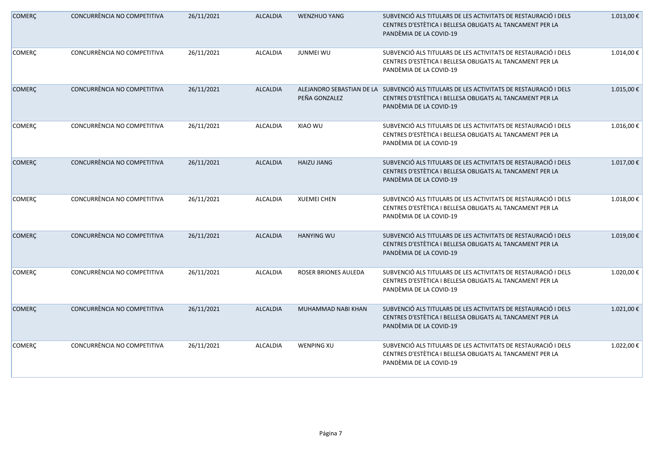| <b>COMERÇ</b> | CONCURRÈNCIA NO COMPETITIVA | 26/11/2021 | <b>ALCALDIA</b> | <b>WENZHUO YANG</b>  | SUBVENCIÓ ALS TITULARS DE LES ACTIVITATS DE RESTAURACIÓ I DELS<br>CENTRES D'ESTÈTICA I BELLESA OBLIGATS AL TANCAMENT PER LA<br>PANDÈMIA DE LA COVID-19                           | 1.013,00€  |
|---------------|-----------------------------|------------|-----------------|----------------------|----------------------------------------------------------------------------------------------------------------------------------------------------------------------------------|------------|
| <b>COMERÇ</b> | CONCURRÈNCIA NO COMPETITIVA | 26/11/2021 | <b>ALCALDIA</b> | <b>JUNMEI WU</b>     | SUBVENCIÓ ALS TITULARS DE LES ACTIVITATS DE RESTAURACIÓ I DELS<br>CENTRES D'ESTÈTICA I BELLESA OBLIGATS AL TANCAMENT PER LA<br>PANDÈMIA DE LA COVID-19                           | 1.014,00 € |
| <b>COMERÇ</b> | CONCURRÈNCIA NO COMPETITIVA | 26/11/2021 | <b>ALCALDIA</b> | PEÑA GONZALEZ        | ALEJANDRO SEBASTIAN DE LA SUBVENCIÓ ALS TITULARS DE LES ACTIVITATS DE RESTAURACIÓ I DELS<br>CENTRES D'ESTÈTICA I BELLESA OBLIGATS AL TANCAMENT PER LA<br>PANDÈMIA DE LA COVID-19 | 1.015,00€  |
| <b>COMERC</b> | CONCURRÈNCIA NO COMPETITIVA | 26/11/2021 | ALCALDIA        | XIAO WU              | SUBVENCIÓ ALS TITULARS DE LES ACTIVITATS DE RESTAURACIÓ I DELS<br>CENTRES D'ESTÈTICA I BELLESA OBLIGATS AL TANCAMENT PER LA<br>PANDÈMIA DE LA COVID-19                           | 1.016,00€  |
| <b>COMERÇ</b> | CONCURRÈNCIA NO COMPETITIVA | 26/11/2021 | <b>ALCALDIA</b> | <b>HAIZU JIANG</b>   | SUBVENCIÓ ALS TITULARS DE LES ACTIVITATS DE RESTAURACIÓ I DELS<br>CENTRES D'ESTÈTICA I BELLESA OBLIGATS AL TANCAMENT PER LA<br>PANDÈMIA DE LA COVID-19                           | 1.017,00 € |
| <b>COMERÇ</b> | CONCURRÈNCIA NO COMPETITIVA | 26/11/2021 | ALCALDIA        | <b>XUEMEI CHEN</b>   | SUBVENCIÓ ALS TITULARS DE LES ACTIVITATS DE RESTAURACIÓ I DELS<br>CENTRES D'ESTÈTICA I BELLESA OBLIGATS AL TANCAMENT PER LA<br>PANDÈMIA DE LA COVID-19                           | 1.018,00€  |
| <b>COMERC</b> | CONCURRÈNCIA NO COMPETITIVA | 26/11/2021 | ALCALDIA        | <b>HANYING WU</b>    | SUBVENCIÓ ALS TITULARS DE LES ACTIVITATS DE RESTAURACIÓ I DELS<br>CENTRES D'ESTÈTICA I BELLESA OBLIGATS AL TANCAMENT PER LA<br>PANDÈMIA DE LA COVID-19                           | 1.019,00€  |
| <b>COMERÇ</b> | CONCURRÈNCIA NO COMPETITIVA | 26/11/2021 | ALCALDIA        | ROSER BRIONES AULEDA | SUBVENCIÓ ALS TITULARS DE LES ACTIVITATS DE RESTAURACIÓ I DELS<br>CENTRES D'ESTÈTICA I BELLESA OBLIGATS AL TANCAMENT PER LA<br>PANDÈMIA DE LA COVID-19                           | 1.020,00€  |
| <b>COMERÇ</b> | CONCURRÈNCIA NO COMPETITIVA | 26/11/2021 | <b>ALCALDIA</b> | MUHAMMAD NABI KHAN   | SUBVENCIÓ ALS TITULARS DE LES ACTIVITATS DE RESTAURACIÓ I DELS<br>CENTRES D'ESTÈTICA I BELLESA OBLIGATS AL TANCAMENT PER LA<br>PANDÈMIA DE LA COVID-19                           | 1.021,00 € |
| <b>COMERÇ</b> | CONCURRÈNCIA NO COMPETITIVA | 26/11/2021 | ALCALDIA        | <b>WENPING XU</b>    | SUBVENCIÓ ALS TITULARS DE LES ACTIVITATS DE RESTAURACIÓ I DELS<br>CENTRES D'ESTÈTICA I BELLESA OBLIGATS AL TANCAMENT PER LA<br>PANDÈMIA DE LA COVID-19                           | 1.022,00€  |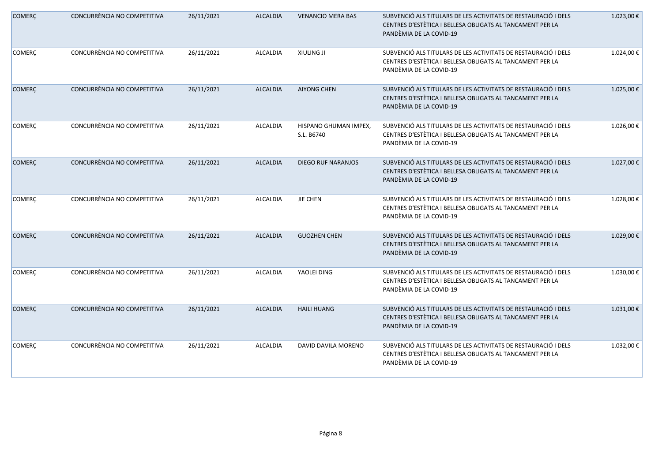| <b>COMERÇ</b> | CONCURRÈNCIA NO COMPETITIVA | 26/11/2021 | <b>ALCALDIA</b> | <b>VENANCIO MERA BAS</b>            | SUBVENCIÓ ALS TITULARS DE LES ACTIVITATS DE RESTAURACIÓ I DELS<br>CENTRES D'ESTÈTICA I BELLESA OBLIGATS AL TANCAMENT PER LA<br>PANDÈMIA DE LA COVID-19 | 1.023,00€  |
|---------------|-----------------------------|------------|-----------------|-------------------------------------|--------------------------------------------------------------------------------------------------------------------------------------------------------|------------|
| <b>COMERÇ</b> | CONCURRÈNCIA NO COMPETITIVA | 26/11/2021 | <b>ALCALDIA</b> | <b>XIULING JI</b>                   | SUBVENCIÓ ALS TITULARS DE LES ACTIVITATS DE RESTAURACIÓ I DELS<br>CENTRES D'ESTÈTICA I BELLESA OBLIGATS AL TANCAMENT PER LA<br>PANDÈMIA DE LA COVID-19 | 1.024,00€  |
| <b>COMERÇ</b> | CONCURRÈNCIA NO COMPETITIVA | 26/11/2021 | <b>ALCALDIA</b> | <b>AIYONG CHEN</b>                  | SUBVENCIÓ ALS TITULARS DE LES ACTIVITATS DE RESTAURACIÓ I DELS<br>CENTRES D'ESTÈTICA I BELLESA OBLIGATS AL TANCAMENT PER LA<br>PANDÈMIA DE LA COVID-19 | 1.025,00 € |
| <b>COMERC</b> | CONCURRÈNCIA NO COMPETITIVA | 26/11/2021 | ALCALDIA        | HISPANO GHUMAN IMPEX,<br>S.L. B6740 | SUBVENCIÓ ALS TITULARS DE LES ACTIVITATS DE RESTAURACIÓ I DELS<br>CENTRES D'ESTÈTICA I BELLESA OBLIGATS AL TANCAMENT PER LA<br>PANDÈMIA DE LA COVID-19 | 1.026,00€  |
| <b>COMERÇ</b> | CONCURRÈNCIA NO COMPETITIVA | 26/11/2021 | <b>ALCALDIA</b> | <b>DIEGO RUF NARANJOS</b>           | SUBVENCIÓ ALS TITULARS DE LES ACTIVITATS DE RESTAURACIÓ I DELS<br>CENTRES D'ESTÈTICA I BELLESA OBLIGATS AL TANCAMENT PER LA<br>PANDÈMIA DE LA COVID-19 | 1.027,00€  |
| <b>COMERÇ</b> | CONCURRÈNCIA NO COMPETITIVA | 26/11/2021 | <b>ALCALDIA</b> | <b>JIE CHEN</b>                     | SUBVENCIÓ ALS TITULARS DE LES ACTIVITATS DE RESTAURACIÓ I DELS<br>CENTRES D'ESTÈTICA I BELLESA OBLIGATS AL TANCAMENT PER LA<br>PANDÈMIA DE LA COVID-19 | 1.028,00€  |
| <b>COMERÇ</b> | CONCURRÈNCIA NO COMPETITIVA | 26/11/2021 | <b>ALCALDIA</b> | <b>GUOZHEN CHEN</b>                 | SUBVENCIÓ ALS TITULARS DE LES ACTIVITATS DE RESTAURACIÓ I DELS<br>CENTRES D'ESTÈTICA I BELLESA OBLIGATS AL TANCAMENT PER LA<br>PANDÈMIA DE LA COVID-19 | 1.029,00€  |
| <b>COMERÇ</b> | CONCURRÈNCIA NO COMPETITIVA | 26/11/2021 | <b>ALCALDIA</b> | YAOLEI DING                         | SUBVENCIÓ ALS TITULARS DE LES ACTIVITATS DE RESTAURACIÓ I DELS<br>CENTRES D'ESTÈTICA I BELLESA OBLIGATS AL TANCAMENT PER LA<br>PANDÈMIA DE LA COVID-19 | 1.030,00€  |
| <b>COMERÇ</b> | CONCURRÈNCIA NO COMPETITIVA | 26/11/2021 | <b>ALCALDIA</b> | <b>HAILI HUANG</b>                  | SUBVENCIÓ ALS TITULARS DE LES ACTIVITATS DE RESTAURACIÓ I DELS<br>CENTRES D'ESTÈTICA I BELLESA OBLIGATS AL TANCAMENT PER LA<br>PANDÈMIA DE LA COVID-19 | 1.031,00€  |
| <b>COMERÇ</b> | CONCURRÈNCIA NO COMPETITIVA | 26/11/2021 | ALCALDIA        | DAVID DAVILA MORENO                 | SUBVENCIÓ ALS TITULARS DE LES ACTIVITATS DE RESTAURACIÓ I DELS<br>CENTRES D'ESTÈTICA I BELLESA OBLIGATS AL TANCAMENT PER LA<br>PANDÈMIA DE LA COVID-19 | 1.032,00€  |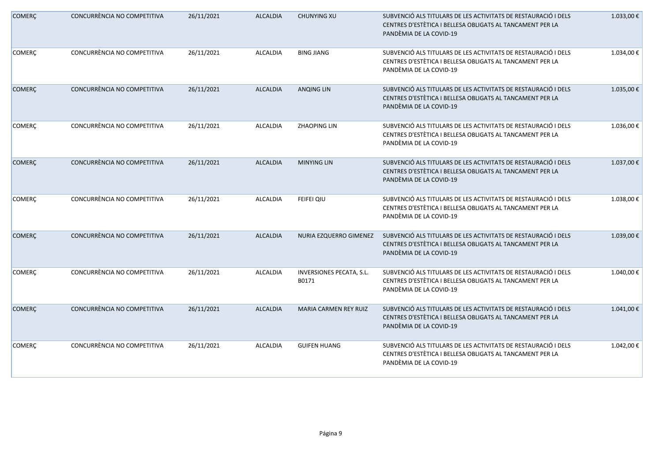| <b>COMERÇ</b> | CONCURRÈNCIA NO COMPETITIVA | 26/11/2021 | <b>ALCALDIA</b> | <b>CHUNYING XU</b>                | SUBVENCIÓ ALS TITULARS DE LES ACTIVITATS DE RESTAURACIÓ I DELS<br>CENTRES D'ESTÈTICA I BELLESA OBLIGATS AL TANCAMENT PER LA<br>PANDÈMIA DE LA COVID-19 | 1.033,00€        |
|---------------|-----------------------------|------------|-----------------|-----------------------------------|--------------------------------------------------------------------------------------------------------------------------------------------------------|------------------|
| <b>COMERÇ</b> | CONCURRÈNCIA NO COMPETITIVA | 26/11/2021 | ALCALDIA        | <b>BING JIANG</b>                 | SUBVENCIÓ ALS TITULARS DE LES ACTIVITATS DE RESTAURACIÓ I DELS<br>CENTRES D'ESTÈTICA I BELLESA OBLIGATS AL TANCAMENT PER LA<br>PANDÈMIA DE LA COVID-19 | 1.034,00€        |
| <b>COMERÇ</b> | CONCURRÈNCIA NO COMPETITIVA | 26/11/2021 | <b>ALCALDIA</b> | <b>ANQING LIN</b>                 | SUBVENCIÓ ALS TITULARS DE LES ACTIVITATS DE RESTAURACIÓ I DELS<br>CENTRES D'ESTÈTICA I BELLESA OBLIGATS AL TANCAMENT PER LA<br>PANDÈMIA DE LA COVID-19 | 1.035,00€        |
| <b>COMERC</b> | CONCURRÈNCIA NO COMPETITIVA | 26/11/2021 | ALCALDIA        | ZHAOPING LIN                      | SUBVENCIÓ ALS TITULARS DE LES ACTIVITATS DE RESTAURACIÓ I DELS<br>CENTRES D'ESTÈTICA I BELLESA OBLIGATS AL TANCAMENT PER LA<br>PANDÈMIA DE LA COVID-19 | 1.036,00€        |
| <b>COMERÇ</b> | CONCURRÈNCIA NO COMPETITIVA | 26/11/2021 | <b>ALCALDIA</b> | <b>MINYING LIN</b>                | SUBVENCIÓ ALS TITULARS DE LES ACTIVITATS DE RESTAURACIÓ I DELS<br>CENTRES D'ESTÈTICA I BELLESA OBLIGATS AL TANCAMENT PER LA<br>PANDÈMIA DE LA COVID-19 | 1.037,00€        |
| <b>COMERÇ</b> | CONCURRÈNCIA NO COMPETITIVA | 26/11/2021 | <b>ALCALDIA</b> | FEIFEI QIU                        | SUBVENCIÓ ALS TITULARS DE LES ACTIVITATS DE RESTAURACIÓ I DELS<br>CENTRES D'ESTÈTICA I BELLESA OBLIGATS AL TANCAMENT PER LA<br>PANDÈMIA DE LA COVID-19 | 1.038,00€        |
| <b>COMERC</b> | CONCURRÈNCIA NO COMPETITIVA | 26/11/2021 | ALCALDIA        | NURIA EZQUERRO GIMENEZ            | SUBVENCIÓ ALS TITULARS DE LES ACTIVITATS DE RESTAURACIÓ I DELS<br>CENTRES D'ESTÈTICA I BELLESA OBLIGATS AL TANCAMENT PER LA<br>PANDÈMIA DE LA COVID-19 | 1.039,00€        |
| <b>COMERÇ</b> | CONCURRÈNCIA NO COMPETITIVA | 26/11/2021 | ALCALDIA        | INVERSIONES PECATA, S.L.<br>B0171 | SUBVENCIÓ ALS TITULARS DE LES ACTIVITATS DE RESTAURACIÓ I DELS<br>CENTRES D'ESTÈTICA I BELLESA OBLIGATS AL TANCAMENT PER LA<br>PANDÈMIA DE LA COVID-19 | $1.040,00$ $\in$ |
| <b>COMERÇ</b> | CONCURRÈNCIA NO COMPETITIVA | 26/11/2021 | <b>ALCALDIA</b> | MARIA CARMEN REY RUIZ             | SUBVENCIÓ ALS TITULARS DE LES ACTIVITATS DE RESTAURACIÓ I DELS<br>CENTRES D'ESTÈTICA I BELLESA OBLIGATS AL TANCAMENT PER LA<br>PANDÈMIA DE LA COVID-19 | 1.041,00 €       |
| <b>COMERÇ</b> | CONCURRÈNCIA NO COMPETITIVA | 26/11/2021 | ALCALDIA        | <b>GUIFEN HUANG</b>               | SUBVENCIÓ ALS TITULARS DE LES ACTIVITATS DE RESTAURACIÓ I DELS<br>CENTRES D'ESTÈTICA I BELLESA OBLIGATS AL TANCAMENT PER LA<br>PANDÈMIA DE LA COVID-19 | 1.042,00 €       |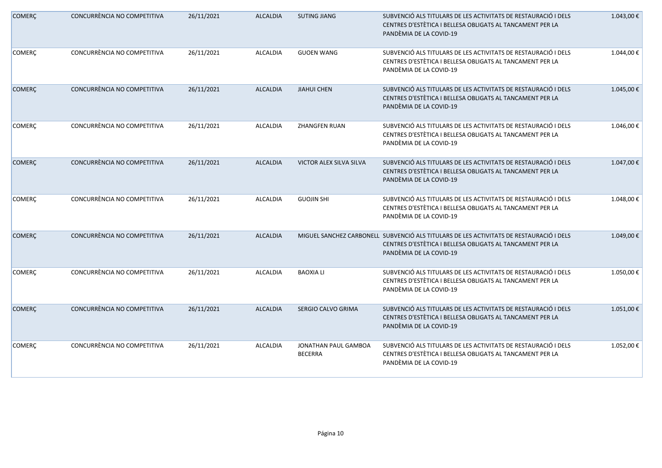| <b>COMERÇ</b> | CONCURRÈNCIA NO COMPETITIVA | 26/11/2021 | <b>ALCALDIA</b> | <b>SUTING JIANG</b>                    | SUBVENCIÓ ALS TITULARS DE LES ACTIVITATS DE RESTAURACIÓ I DELS<br>CENTRES D'ESTÈTICA I BELLESA OBLIGATS AL TANCAMENT PER LA<br>PANDÈMIA DE LA COVID-19                          | 1.043,00€  |
|---------------|-----------------------------|------------|-----------------|----------------------------------------|---------------------------------------------------------------------------------------------------------------------------------------------------------------------------------|------------|
| <b>COMERÇ</b> | CONCURRÈNCIA NO COMPETITIVA | 26/11/2021 | <b>ALCALDIA</b> | <b>GUOEN WANG</b>                      | SUBVENCIÓ ALS TITULARS DE LES ACTIVITATS DE RESTAURACIÓ I DELS<br>CENTRES D'ESTÈTICA I BELLESA OBLIGATS AL TANCAMENT PER LA<br>PANDÈMIA DE LA COVID-19                          | 1.044,00€  |
| <b>COMERÇ</b> | CONCURRÈNCIA NO COMPETITIVA | 26/11/2021 | <b>ALCALDIA</b> | <b>JIAHUI CHEN</b>                     | SUBVENCIÓ ALS TITULARS DE LES ACTIVITATS DE RESTAURACIÓ I DELS<br>CENTRES D'ESTÈTICA I BELLESA OBLIGATS AL TANCAMENT PER LA<br>PANDÈMIA DE LA COVID-19                          | 1.045,00 € |
| <b>COMERC</b> | CONCURRÈNCIA NO COMPETITIVA | 26/11/2021 | ALCALDIA        | <b>ZHANGFEN RUAN</b>                   | SUBVENCIÓ ALS TITULARS DE LES ACTIVITATS DE RESTAURACIÓ I DELS<br>CENTRES D'ESTÈTICA I BELLESA OBLIGATS AL TANCAMENT PER LA<br>PANDÈMIA DE LA COVID-19                          | 1.046,00€  |
| <b>COMERÇ</b> | CONCURRÈNCIA NO COMPETITIVA | 26/11/2021 | <b>ALCALDIA</b> | VICTOR ALEX SILVA SILVA                | SUBVENCIÓ ALS TITULARS DE LES ACTIVITATS DE RESTAURACIÓ I DELS<br>CENTRES D'ESTÈTICA I BELLESA OBLIGATS AL TANCAMENT PER LA<br>PANDÈMIA DE LA COVID-19                          | 1.047,00 € |
| COMERÇ        | CONCURRÈNCIA NO COMPETITIVA | 26/11/2021 | <b>ALCALDIA</b> | <b>GUOJIN SHI</b>                      | SUBVENCIÓ ALS TITULARS DE LES ACTIVITATS DE RESTAURACIÓ I DELS<br>CENTRES D'ESTÈTICA I BELLESA OBLIGATS AL TANCAMENT PER LA<br>PANDÈMIA DE LA COVID-19                          | 1.048,00€  |
| <b>COMERÇ</b> | CONCURRÈNCIA NO COMPETITIVA | 26/11/2021 | <b>ALCALDIA</b> |                                        | MIGUEL SANCHEZ CARBONELL SUBVENCIÓ ALS TITULARS DE LES ACTIVITATS DE RESTAURACIÓ I DELS<br>CENTRES D'ESTÈTICA I BELLESA OBLIGATS AL TANCAMENT PER LA<br>PANDÈMIA DE LA COVID-19 | 1.049,00€  |
| <b>COMERC</b> | CONCURRÈNCIA NO COMPETITIVA | 26/11/2021 | ALCALDIA        | <b>BAOXIA LI</b>                       | SUBVENCIÓ ALS TITULARS DE LES ACTIVITATS DE RESTAURACIÓ I DELS<br>CENTRES D'ESTÈTICA I BELLESA OBLIGATS AL TANCAMENT PER LA<br>PANDÈMIA DE LA COVID-19                          | 1.050,00€  |
| <b>COMERC</b> | CONCURRÈNCIA NO COMPETITIVA | 26/11/2021 | <b>ALCALDIA</b> | SERGIO CALVO GRIMA                     | SUBVENCIÓ ALS TITULARS DE LES ACTIVITATS DE RESTAURACIÓ I DELS<br>CENTRES D'ESTÈTICA I BELLESA OBLIGATS AL TANCAMENT PER LA<br>PANDÈMIA DE LA COVID-19                          | 1.051,00€  |
| <b>COMERÇ</b> | CONCURRÈNCIA NO COMPETITIVA | 26/11/2021 | ALCALDIA        | JONATHAN PAUL GAMBOA<br><b>BECERRA</b> | SUBVENCIÓ ALS TITULARS DE LES ACTIVITATS DE RESTAURACIÓ I DELS<br>CENTRES D'ESTÈTICA I BELLESA OBLIGATS AL TANCAMENT PER LA<br>PANDÈMIA DE LA COVID-19                          | 1.052,00€  |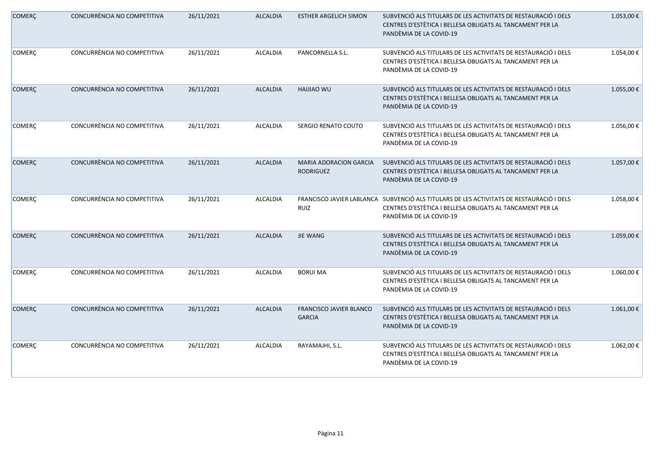| <b>COMERÇ</b> | CONCURRÈNCIA NO COMPETITIVA | 26/11/2021 | <b>ALCALDIA</b> | <b>ESTHER ARGELICH SIMON</b>               | SUBVENCIÓ ALS TITULARS DE LES ACTIVITATS DE RESTAURACIÓ I DELS<br>CENTRES D'ESTÈTICA I BELLESA OBLIGATS AL TANCAMENT PER LA<br>PANDÈMIA DE LA COVID-19 | 1.053,00€  |
|---------------|-----------------------------|------------|-----------------|--------------------------------------------|--------------------------------------------------------------------------------------------------------------------------------------------------------|------------|
| <b>COMERÇ</b> | CONCURRÈNCIA NO COMPETITIVA | 26/11/2021 | ALCALDIA        | PANCORNELLA S.L.                           | SUBVENCIÓ ALS TITULARS DE LES ACTIVITATS DE RESTAURACIÓ I DELS<br>CENTRES D'ESTÈTICA I BELLESA OBLIGATS AL TANCAMENT PER LA<br>PANDÈMIA DE LA COVID-19 | 1.054,00€  |
| <b>COMERÇ</b> | CONCURRÈNCIA NO COMPETITIVA | 26/11/2021 | <b>ALCALDIA</b> | <b>HAIJIAO WU</b>                          | SUBVENCIÓ ALS TITULARS DE LES ACTIVITATS DE RESTAURACIÓ I DELS<br>CENTRES D'ESTÈTICA I BELLESA OBLIGATS AL TANCAMENT PER LA<br>PANDÈMIA DE LA COVID-19 | 1.055,00 € |
| <b>COMERC</b> | CONCURRÈNCIA NO COMPETITIVA | 26/11/2021 | <b>ALCALDIA</b> | SERGIO RENATO COUTO                        | SUBVENCIÓ ALS TITULARS DE LES ACTIVITATS DE RESTAURACIÓ I DELS<br>CENTRES D'ESTÈTICA I BELLESA OBLIGATS AL TANCAMENT PER LA<br>PANDÈMIA DE LA COVID-19 | 1.056,00€  |
| <b>COMERÇ</b> | CONCURRÈNCIA NO COMPETITIVA | 26/11/2021 | <b>ALCALDIA</b> | MARIA ADORACION GARCIA<br><b>RODRIGUEZ</b> | SUBVENCIÓ ALS TITULARS DE LES ACTIVITATS DE RESTAURACIÓ I DELS<br>CENTRES D'ESTÈTICA I BELLESA OBLIGATS AL TANCAMENT PER LA<br>PANDÈMIA DE LA COVID-19 | 1.057,00€  |
| <b>COMERÇ</b> | CONCURRÈNCIA NO COMPETITIVA | 26/11/2021 | <b>ALCALDIA</b> | FRANCISCO JAVIER LABLANCA<br>RUIZ          | SUBVENCIÓ ALS TITULARS DE LES ACTIVITATS DE RESTAURACIÓ I DELS<br>CENTRES D'ESTÈTICA I BELLESA OBLIGATS AL TANCAMENT PER LA<br>PANDÈMIA DE LA COVID-19 | 1.058,00€  |
| <b>COMERC</b> | CONCURRÈNCIA NO COMPETITIVA | 26/11/2021 | ALCALDIA        | <b>JIE WANG</b>                            | SUBVENCIÓ ALS TITULARS DE LES ACTIVITATS DE RESTAURACIÓ I DELS<br>CENTRES D'ESTÈTICA I BELLESA OBLIGATS AL TANCAMENT PER LA<br>PANDÈMIA DE LA COVID-19 | 1.059,00€  |
| <b>COMERÇ</b> | CONCURRÈNCIA NO COMPETITIVA | 26/11/2021 | ALCALDIA        | <b>BORUI MA</b>                            | SUBVENCIÓ ALS TITULARS DE LES ACTIVITATS DE RESTAURACIÓ I DELS<br>CENTRES D'ESTÈTICA I BELLESA OBLIGATS AL TANCAMENT PER LA<br>PANDÈMIA DE LA COVID-19 | 1.060,00€  |
| <b>COMERÇ</b> | CONCURRÈNCIA NO COMPETITIVA | 26/11/2021 | <b>ALCALDIA</b> | FRANCISCO JAVIER BLANCO<br><b>GARCIA</b>   | SUBVENCIÓ ALS TITULARS DE LES ACTIVITATS DE RESTAURACIÓ I DELS<br>CENTRES D'ESTÈTICA I BELLESA OBLIGATS AL TANCAMENT PER LA<br>PANDÈMIA DE LA COVID-19 | 1.061,00€  |
| <b>COMERÇ</b> | CONCURRÈNCIA NO COMPETITIVA | 26/11/2021 | ALCALDIA        | RAYAMAJHI, S.L.                            | SUBVENCIÓ ALS TITULARS DE LES ACTIVITATS DE RESTAURACIÓ I DELS<br>CENTRES D'ESTÈTICA I BELLESA OBLIGATS AL TANCAMENT PER LA<br>PANDÈMIA DE LA COVID-19 | 1.062,00€  |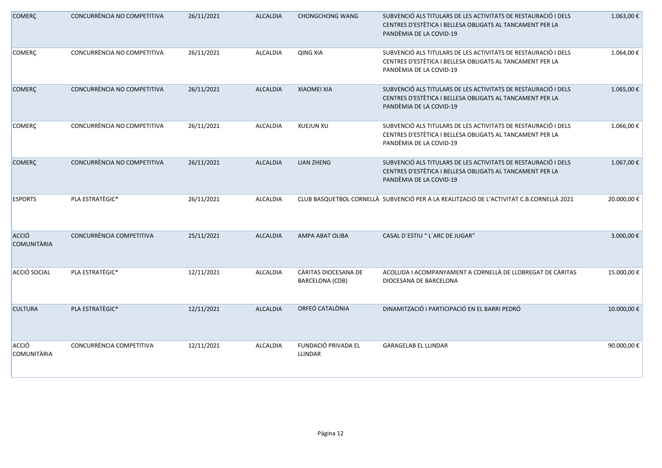| <b>COMERÇ</b>               | CONCURRÈNCIA NO COMPETITIVA | 26/11/2021 | <b>ALCALDIA</b> | <b>CHONGCHONG WANG</b>                         | SUBVENCIÓ ALS TITULARS DE LES ACTIVITATS DE RESTAURACIÓ I DELS<br>CENTRES D'ESTÈTICA I BELLESA OBLIGATS AL TANCAMENT PER LA<br>PANDÈMIA DE LA COVID-19 | 1.063,00€   |
|-----------------------------|-----------------------------|------------|-----------------|------------------------------------------------|--------------------------------------------------------------------------------------------------------------------------------------------------------|-------------|
| <b>COMERÇ</b>               | CONCURRÈNCIA NO COMPETITIVA | 26/11/2021 | <b>ALCALDIA</b> | <b>QING XIA</b>                                | SUBVENCIÓ ALS TITULARS DE LES ACTIVITATS DE RESTAURACIÓ I DELS<br>CENTRES D'ESTÈTICA I BELLESA OBLIGATS AL TANCAMENT PER LA<br>PANDÈMIA DE LA COVID-19 | 1.064,00€   |
| <b>COMERÇ</b>               | CONCURRÈNCIA NO COMPETITIVA | 26/11/2021 | <b>ALCALDIA</b> | <b>XIAOMEI XIA</b>                             | SUBVENCIÓ ALS TITULARS DE LES ACTIVITATS DE RESTAURACIÓ I DELS<br>CENTRES D'ESTÈTICA I BELLESA OBLIGATS AL TANCAMENT PER LA<br>PANDÈMIA DE LA COVID-19 | 1.065,00€   |
| <b>COMERÇ</b>               | CONCURRÈNCIA NO COMPETITIVA | 26/11/2021 | <b>ALCALDIA</b> | XUEJUN XU                                      | SUBVENCIÓ ALS TITULARS DE LES ACTIVITATS DE RESTAURACIÓ I DELS<br>CENTRES D'ESTÈTICA I BELLESA OBLIGATS AL TANCAMENT PER LA<br>PANDÈMIA DE LA COVID-19 | 1.066,00€   |
| <b>COMERÇ</b>               | CONCURRÈNCIA NO COMPETITIVA | 26/11/2021 | <b>ALCALDIA</b> | <b>LIAN ZHENG</b>                              | SUBVENCIÓ ALS TITULARS DE LES ACTIVITATS DE RESTAURACIÓ I DELS<br>CENTRES D'ESTÈTICA I BELLESA OBLIGATS AL TANCAMENT PER LA<br>PANDÈMIA DE LA COVID-19 | 1.067,00€   |
| <b>ESPORTS</b>              | PLA ESTRATÈGIC*             | 26/11/2021 | <b>ALCALDIA</b> |                                                | CLUB BASQUETBOL CORNELLÀ SUBVENCIÓ PER A LA REALITZACIÓ DE L'ACTIVITAT C.B.CORNELLÀ 2021                                                               | 20.000,00 € |
| ACCIÓ<br><b>COMUNITÀRIA</b> | CONCURRÈNCIA COMPETITIVA    | 25/11/2021 | <b>ALCALDIA</b> | <b>AMPA ABAT OLIBA</b>                         | CASAL D'ESTIU " L'ARC DE JUGAR"                                                                                                                        | 3.000,00€   |
| ACCIÓ SOCIAL                | PLA ESTRATÈGIC*             | 12/11/2021 | <b>ALCALDIA</b> | CÀRITAS DIOCESANA DE<br><b>BARCELONA (CDB)</b> | ACOLLIDA I ACOMPANYAMENT A CORNELLÀ DE LLOBREGAT DE CÀRITAS<br>DIOCESANA DE BARCELONA                                                                  | 15.000,00€  |
| <b>CULTURA</b>              | PLA ESTRATÈGIC*             | 12/11/2021 | <b>ALCALDIA</b> | ORFEÓ CATALÒNIA                                | DINAMITZACIÓ I PARTICIPACIÓ EN EL BARRI PEDRÓ                                                                                                          | 10.000,00€  |
| ACCIÓ<br><b>COMUNITÀRIA</b> | CONCURRÈNCIA COMPETITIVA    | 12/11/2021 | <b>ALCALDIA</b> | FUNDACIÓ PRIVADA EL<br>LLINDAR                 | <b>GARAGELAB EL LLINDAR</b>                                                                                                                            | 90.000,00€  |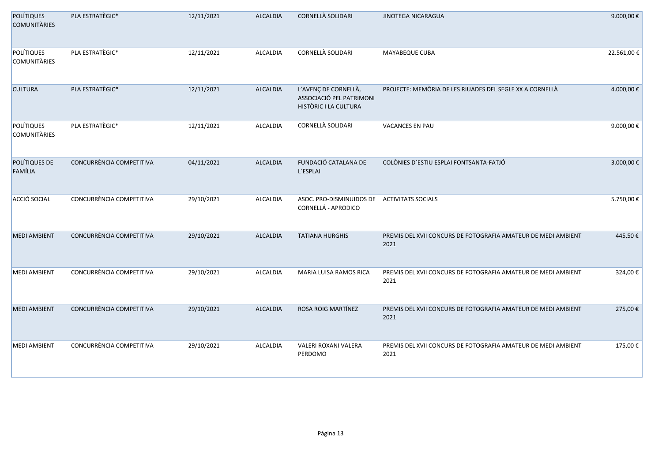| <b>POLÍTIQUES</b><br><b>COMUNITÀRIES</b> | PLA ESTRATÈGIC*          | 12/11/2021 | <b>ALCALDIA</b> | CORNELLÀ SOLIDARI                                                         | JINOTEGA NICARAGUA                                                    | 9.000,00 € |
|------------------------------------------|--------------------------|------------|-----------------|---------------------------------------------------------------------------|-----------------------------------------------------------------------|------------|
| POLÍTIQUES<br><b>COMUNITÀRIES</b>        | PLA ESTRATÈGIC*          | 12/11/2021 | ALCALDIA        | CORNELLÀ SOLIDARI                                                         | <b>MAYABEQUE CUBA</b>                                                 | 22.561,00€ |
| <b>CULTURA</b>                           | PLA ESTRATÈGIC*          | 12/11/2021 | ALCALDIA        | L'AVENÇ DE CORNELLÀ,<br>ASSOCIACIÓ PEL PATRIMONI<br>HISTÒRIC I LA CULTURA | PROJECTE: MEMÒRIA DE LES RIUADES DEL SEGLE XX A CORNELLÀ              | 4.000,00€  |
| POLÍTIQUES<br><b>COMUNITÀRIES</b>        | PLA ESTRATÈGIC*          | 12/11/2021 | ALCALDIA        | CORNELLÀ SOLIDARI                                                         | VACANCES EN PAU                                                       | 9.000,00€  |
| POLÍTIQUES DE<br>FAMÍLIA                 | CONCURRÈNCIA COMPETITIVA | 04/11/2021 | <b>ALCALDIA</b> | FUNDACIÓ CATALANA DE<br>L'ESPLAI                                          | COLÒNIES D'ESTIU ESPLAI FONTSANTA-FATJÓ                               | 3.000,00€  |
| ACCIÓ SOCIAL                             | CONCURRÈNCIA COMPETITIVA | 29/10/2021 | ALCALDIA        | ASOC. PRO-DISMINUIDOS DE<br>CORNELLÁ - APRODICO                           | <b>ACTIVITATS SOCIALS</b>                                             | 5.750,00€  |
| <b>MEDI AMBIENT</b>                      | CONCURRÈNCIA COMPETITIVA | 29/10/2021 | <b>ALCALDIA</b> | <b>TATIANA HURGHIS</b>                                                    | PREMIS DEL XVII CONCURS DE FOTOGRAFIA AMATEUR DE MEDI AMBIENT<br>2021 | 445,50€    |
| <b>MEDI AMBIENT</b>                      | CONCURRÈNCIA COMPETITIVA | 29/10/2021 | <b>ALCALDIA</b> | <b>MARIA LUISA RAMOS RICA</b>                                             | PREMIS DEL XVII CONCURS DE FOTOGRAFIA AMATEUR DE MEDI AMBIENT<br>2021 | 324,00€    |
| <b>MEDI AMBIENT</b>                      | CONCURRÈNCIA COMPETITIVA | 29/10/2021 | ALCALDIA        | ROSA ROIG MARTÍNEZ                                                        | PREMIS DEL XVII CONCURS DE FOTOGRAFIA AMATEUR DE MEDI AMBIENT<br>2021 | 275,00€    |
| <b>MEDI AMBIENT</b>                      | CONCURRÈNCIA COMPETITIVA | 29/10/2021 | ALCALDIA        | VALERI ROXANI VALERA<br>PERDOMO                                           | PREMIS DEL XVII CONCURS DE FOTOGRAFIA AMATEUR DE MEDI AMBIENT<br>2021 | 175,00€    |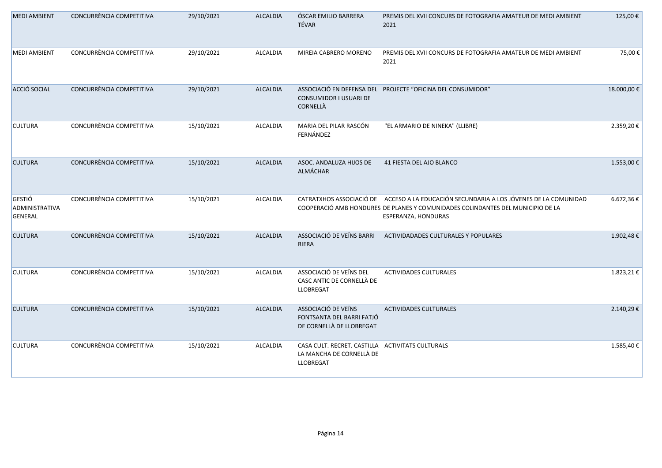| <b>MEDI AMBIENT</b>                 | CONCURRÈNCIA COMPETITIVA | 29/10/2021 | <b>ALCALDIA</b> | ÓSCAR EMILIO BARRERA<br>TÉVAR                                                             | PREMIS DEL XVII CONCURS DE FOTOGRAFIA AMATEUR DE MEDI AMBIENT<br>2021                                                                                                                             | 125,00€    |
|-------------------------------------|--------------------------|------------|-----------------|-------------------------------------------------------------------------------------------|---------------------------------------------------------------------------------------------------------------------------------------------------------------------------------------------------|------------|
| <b>MEDI AMBIENT</b>                 | CONCURRÈNCIA COMPETITIVA | 29/10/2021 | ALCALDIA        | MIREIA CABRERO MORENO                                                                     | PREMIS DEL XVII CONCURS DE FOTOGRAFIA AMATEUR DE MEDI AMBIENT<br>2021                                                                                                                             | 75,00€     |
| ACCIÓ SOCIAL                        | CONCURRÈNCIA COMPETITIVA | 29/10/2021 | <b>ALCALDIA</b> | <b>CONSUMIDOR I USUARI DE</b><br>CORNELLÀ                                                 | ASSOCIACIÓ EN DEFENSA DEL PROJECTE "OFICINA DEL CONSUMIDOR"                                                                                                                                       | 18.000,00€ |
| <b>CULTURA</b>                      | CONCURRÈNCIA COMPETITIVA | 15/10/2021 | <b>ALCALDIA</b> | MARIA DEL PILAR RASCÓN<br>FERNÁNDEZ                                                       | "EL ARMARIO DE NINEKA" (LLIBRE)                                                                                                                                                                   | 2.359,20€  |
| <b>CULTURA</b>                      | CONCURRÈNCIA COMPETITIVA | 15/10/2021 | <b>ALCALDIA</b> | ASOC. ANDALUZA HIJOS DE<br>ALMÁCHAR                                                       | 41 FIESTA DEL AJO BLANCO                                                                                                                                                                          | 1.553,00€  |
| GESTIÓ<br>ADMINISTRATIVA<br>GENERAL | CONCURRÈNCIA COMPETITIVA | 15/10/2021 | ALCALDIA        |                                                                                           | CATRATXHOS ASSOCIACIÓ DE ACCESO A LA EDUCACIÓN SECUNDARIA A LOS JÓVENES DE LA COMUNIDAD<br>COOPERACIÓ AMB HONDURES DE PLANES Y COMUNIDADES COLINDANTES DEL MUNICIPIO DE LA<br>ESPERANZA, HONDURAS | 6.672,36€  |
| <b>CULTURA</b>                      | CONCURRÈNCIA COMPETITIVA | 15/10/2021 | <b>ALCALDIA</b> | ASSOCIACIÓ DE VEÏNS BARRI<br><b>RIERA</b>                                                 | ACTIVIDADADES CULTURALES Y POPULARES                                                                                                                                                              | 1.902,48€  |
| <b>CULTURA</b>                      | CONCURRÈNCIA COMPETITIVA | 15/10/2021 | ALCALDIA        | ASSOCIACIÓ DE VEÏNS DEL<br>CASC ANTIC DE CORNELLÀ DE<br>LLOBREGAT                         | <b>ACTIVIDADES CULTURALES</b>                                                                                                                                                                     | 1.823,21€  |
| <b>CULTURA</b>                      | CONCURRÈNCIA COMPETITIVA | 15/10/2021 | <b>ALCALDIA</b> | ASSOCIACIÓ DE VEÏNS<br>FONTSANTA DEL BARRI FATJÓ<br>DE CORNELLÀ DE LLOBREGAT              | <b>ACTIVIDADES CULTURALES</b>                                                                                                                                                                     | 2.140,29€  |
| <b>CULTURA</b>                      | CONCURRÈNCIA COMPETITIVA | 15/10/2021 | ALCALDIA        | CASA CULT. RECRET. CASTILLA ACTIVITATS CULTURALS<br>LA MANCHA DE CORNELLÀ DE<br>LLOBREGAT |                                                                                                                                                                                                   | 1.585,40€  |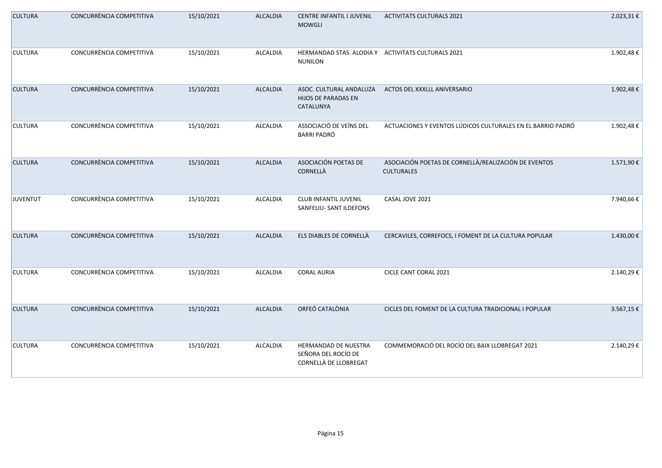| <b>CULTURA</b> | CONCURRÈNCIA COMPETITIVA | 15/10/2021 | <b>ALCALDIA</b> | CENTRE INFANTIL I JUVENIL<br><b>MOWGLI</b>                           | <b>ACTIVITATS CULTURALS 2021</b>                                          | 2.023,31€ |
|----------------|--------------------------|------------|-----------------|----------------------------------------------------------------------|---------------------------------------------------------------------------|-----------|
| <b>CULTURA</b> | CONCURRÈNCIA COMPETITIVA | 15/10/2021 | ALCALDIA        | HERMANDAD STAS. ALODIA Y ACTIVITATS CULTURALS 2021<br><b>NUNILON</b> |                                                                           | 1.902,48€ |
| <b>CULTURA</b> | CONCURRÈNCIA COMPETITIVA | 15/10/2021 | <b>ALCALDIA</b> | ASOC. CULTURAL ANDALUZA<br>HIJOS DE PARADAS EN<br>CATALUNYA          | ACTOS DEL XXXLLL ANIVERSARIO                                              | 1.902,48€ |
| <b>CULTURA</b> | CONCURRÈNCIA COMPETITIVA | 15/10/2021 | ALCALDIA        | ASSOCIACIÓ DE VEÏNS DEL<br><b>BARRI PADRÓ</b>                        | ACTUACIONES Y EVENTOS LÚDICOS CULTURALES EN EL BARRIO PADRÓ               | 1.902,48€ |
| <b>CULTURA</b> | CONCURRÈNCIA COMPETITIVA | 15/10/2021 | <b>ALCALDIA</b> | ASOCIACIÓN POETAS DE<br>CORNELLÀ                                     | ASOCIACIÓN POETAS DE CORNELLÀ/REALIZACIÓN DE EVENTOS<br><b>CULTURALES</b> | 1.571,90€ |
| JUVENTUT       | CONCURRÈNCIA COMPETITIVA | 15/10/2021 | ALCALDIA        | CLUB INFANTIL JUVENIL<br>SANFELIU- SANT ILDEFONS                     | CASAL JOVE 2021                                                           | 7.940,66€ |
| <b>CULTURA</b> | CONCURRÈNCIA COMPETITIVA | 15/10/2021 | <b>ALCALDIA</b> | ELS DIABLES DE CORNELLÀ                                              | CERCAVILES, CORREFOCS, I FOMENT DE LA CULTURA POPULAR                     | 1.430,00€ |
| <b>CULTURA</b> | CONCURRÈNCIA COMPETITIVA | 15/10/2021 | ALCALDIA        | <b>CORAL AURIA</b>                                                   | CICLE CANT CORAL 2021                                                     | 2.140,29€ |
| <b>CULTURA</b> | CONCURRÈNCIA COMPETITIVA | 15/10/2021 | <b>ALCALDIA</b> | ORFEÓ CATALÒNIA                                                      | CICLES DEL FOMENT DE LA CULTURA TRADICIONAL I POPULAR                     | 3.567,15€ |
| <b>CULTURA</b> | CONCURRÈNCIA COMPETITIVA | 15/10/2021 | ALCALDIA        | HERMANDAD DE NUESTRA<br>SEÑORA DEL ROCÍO DE<br>CORNELLÀ DE LLOBREGAT | COMMEMORACIÓ DEL ROCÍO DEL BAIX LLOBREGAT 2021                            | 2.140,29€ |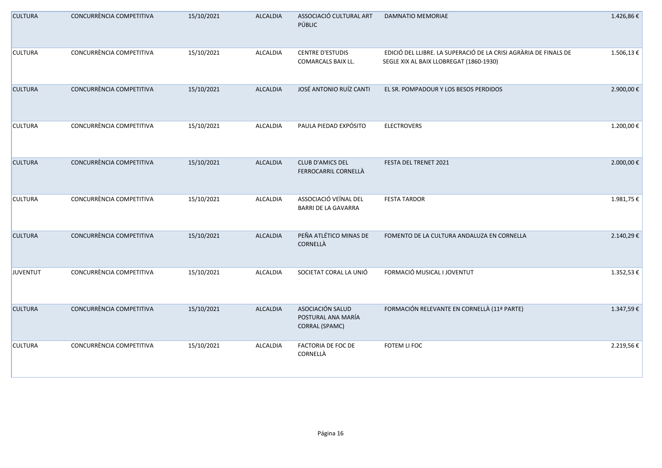| <b>CULTURA</b> | CONCURRÈNCIA COMPETITIVA | 15/10/2021 | <b>ALCALDIA</b> | ASSOCIACIÓ CULTURAL ART<br>PÚBLIC                               | DAMNATIO MEMORIAE                                                                                           | 1.426,86€    |
|----------------|--------------------------|------------|-----------------|-----------------------------------------------------------------|-------------------------------------------------------------------------------------------------------------|--------------|
| <b>CULTURA</b> | CONCURRÈNCIA COMPETITIVA | 15/10/2021 | ALCALDIA        | <b>CENTRE D'ESTUDIS</b><br><b>COMARCALS BAIX LL.</b>            | EDICIÓ DEL LLIBRE. LA SUPERACIÓ DE LA CRISI AGRÀRIA DE FINALS DE<br>SEGLE XIX AL BAIX LLOBREGAT (1860-1930) | 1.506,13€    |
| <b>CULTURA</b> | CONCURRÈNCIA COMPETITIVA | 15/10/2021 | <b>ALCALDIA</b> | JOSÉ ANTONIO RUÍZ CANTI                                         | EL SR. POMPADOUR Y LOS BESOS PERDIDOS                                                                       | 2.900,00€    |
| <b>CULTURA</b> | CONCURRÈNCIA COMPETITIVA | 15/10/2021 | ALCALDIA        | PAULA PIEDAD EXPÓSITO                                           | <b>ELECTROVERS</b>                                                                                          | 1.200,00€    |
| <b>CULTURA</b> | CONCURRÈNCIA COMPETITIVA | 15/10/2021 | <b>ALCALDIA</b> | <b>CLUB D'AMICS DEL</b><br>FERROCARRIL CORNELLÀ                 | FESTA DEL TRENET 2021                                                                                       | 2.000,00 €   |
| <b>CULTURA</b> | CONCURRÈNCIA COMPETITIVA | 15/10/2021 | ALCALDIA        | ASSOCIACIÓ VEÏNAL DEL<br><b>BARRI DE LA GAVARRA</b>             | <b>FESTA TARDOR</b>                                                                                         | 1.981,75€    |
| <b>CULTURA</b> | CONCURRÈNCIA COMPETITIVA | 15/10/2021 | <b>ALCALDIA</b> | PEÑA ATLÉTICO MINAS DE<br>CORNELLÀ                              | FOMENTO DE LA CULTURA ANDALUZA EN CORNELLA                                                                  | 2.140,29€    |
| JUVENTUT       | CONCURRÈNCIA COMPETITIVA | 15/10/2021 | ALCALDIA        | SOCIETAT CORAL LA UNIÓ                                          | FORMACIÓ MUSICAL I JOVENTUT                                                                                 | $1.352,53 €$ |
| <b>CULTURA</b> | CONCURRÈNCIA COMPETITIVA | 15/10/2021 | ALCALDIA        | ASOCIACIÓN SALUD<br>POSTURAL ANA MARÍA<br><b>CORRAL (SPAMC)</b> | FORMACIÓN RELEVANTE EN CORNELLÀ (11ª PARTE)                                                                 | 1.347,59€    |
| <b>CULTURA</b> | CONCURRÈNCIA COMPETITIVA | 15/10/2021 | ALCALDIA        | FACTORIA DE FOC DE<br>CORNELLÀ                                  | FOTEM LI FOC                                                                                                | 2.219,56€    |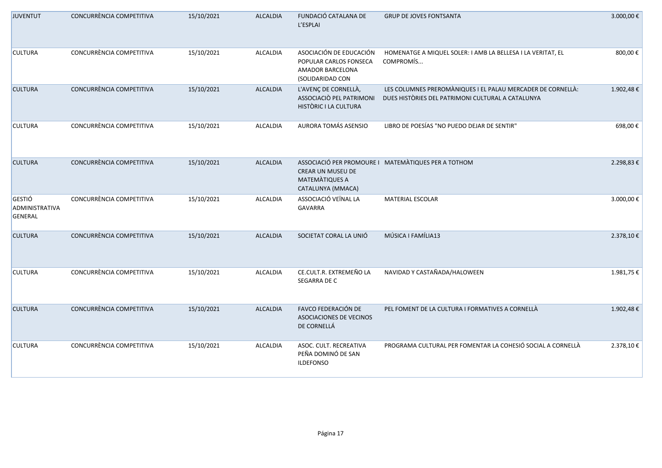| <b>JUVENTUT</b>                     | CONCURRÈNCIA COMPETITIVA | 15/10/2021 | <b>ALCALDIA</b> | FUNDACIÓ CATALANA DE<br>L'ESPLAI                                                          | <b>GRUP DE JOVES FONTSANTA</b>                                                                                   | 3.000,00 € |
|-------------------------------------|--------------------------|------------|-----------------|-------------------------------------------------------------------------------------------|------------------------------------------------------------------------------------------------------------------|------------|
| <b>CULTURA</b>                      | CONCURRÈNCIA COMPETITIVA | 15/10/2021 | ALCALDIA        | ASOCIACIÓN DE EDUCACIÓN<br>POPULAR CARLOS FONSECA<br>AMADOR BARCELONA<br>(SOLIDARIDAD CON | HOMENATGE A MIQUEL SOLER: I AMB LA BELLESA I LA VERITAT, EL<br>COMPROMÍS                                         | 800,00€    |
| <b>CULTURA</b>                      | CONCURRÈNCIA COMPETITIVA | 15/10/2021 | <b>ALCALDIA</b> | L'AVENÇ DE CORNELLÀ,<br>ASSOCIACIÒ PEL PATRIMONI<br>HISTÒRIC I LA CULTURA                 | LES COLUMNES PREROMÀNIQUES I EL PALAU MERCADER DE CORNELLÀ:<br>DUES HISTÒRIES DEL PATRIMONI CULTURAL A CATALUNYA | 1.902,48€  |
| <b>CULTURA</b>                      | CONCURRÈNCIA COMPETITIVA | 15/10/2021 | ALCALDIA        | AURORA TOMÁS ASENSIO                                                                      | LIBRO DE POESÍAS "NO PUEDO DEJAR DE SENTIR"                                                                      | 698,00€    |
| <b>CULTURA</b>                      | CONCURRÈNCIA COMPETITIVA | 15/10/2021 | <b>ALCALDIA</b> | <b>CREAR UN MUSEU DE</b><br>MATEMATIQUES A<br>CATALUNYA (MMACA)                           | ASSOCIACIÓ PER PROMOURE I MATEMÀTIQUES PER A TOTHOM                                                              | 2.298,83€  |
| GESTIÓ<br>ADMINISTRATIVA<br>GENERAL | CONCURRÈNCIA COMPETITIVA | 15/10/2021 | <b>ALCALDIA</b> | ASSOCIACIÓ VEÏNAL LA<br>GAVARRA                                                           | MATERIAL ESCOLAR                                                                                                 | 3.000,00€  |
| <b>CULTURA</b>                      | CONCURRÈNCIA COMPETITIVA | 15/10/2021 | <b>ALCALDIA</b> | SOCIETAT CORAL LA UNIÓ                                                                    | MÚSICA I FAMÍLIA13                                                                                               | 2.378,10€  |
| <b>CULTURA</b>                      | CONCURRÈNCIA COMPETITIVA | 15/10/2021 | ALCALDIA        | CE.CULT.R. EXTREMEÑO LA<br>SEGARRA DE C                                                   | NAVIDAD Y CASTAÑADA/HALOWEEN                                                                                     | 1.981,75€  |
| <b>CULTURA</b>                      | CONCURRÈNCIA COMPETITIVA | 15/10/2021 | <b>ALCALDIA</b> | FAVCO FEDERACIÓN DE<br>ASOCIACIONES DE VECINOS<br>DE CORNELLÁ                             | PEL FOMENT DE LA CULTURA I FORMATIVES A CORNELLÀ                                                                 | 1.902,48€  |
| <b>CULTURA</b>                      | CONCURRÈNCIA COMPETITIVA | 15/10/2021 | ALCALDIA        | ASOC. CULT. RECREATIVA<br>PEÑA DOMINÓ DE SAN<br><b>ILDEFONSO</b>                          | PROGRAMA CULTURAL PER FOMENTAR LA COHESIÓ SOCIAL A CORNELLÀ                                                      | 2.378,10€  |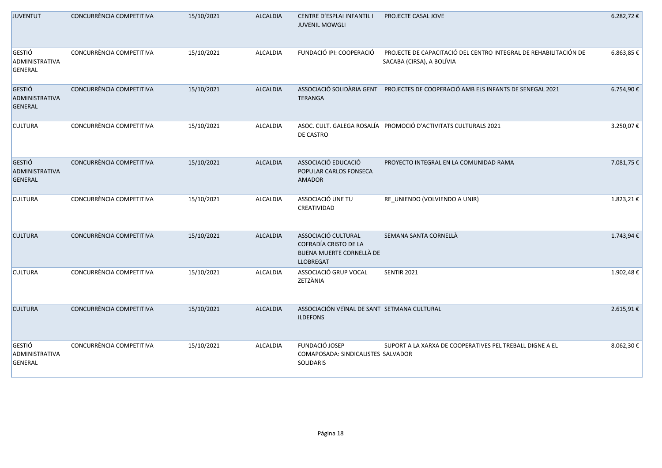| <b>JUVENTUT</b>                                          | CONCURRÈNCIA COMPETITIVA | 15/10/2021 | <b>ALCALDIA</b> | CENTRE D'ESPLAI INFANTIL I<br><b>JUVENIL MOWGLI</b>                                          | PROJECTE CASAL JOVE                                                                           | 6.282,72€  |
|----------------------------------------------------------|--------------------------|------------|-----------------|----------------------------------------------------------------------------------------------|-----------------------------------------------------------------------------------------------|------------|
| <b>GESTIÓ</b><br>ADMINISTRATIVA<br><b>GENERAL</b>        | CONCURRÈNCIA COMPETITIVA | 15/10/2021 | <b>ALCALDIA</b> | FUNDACIÓ IPI: COOPERACIÓ                                                                     | PROJECTE DE CAPACITACIÓ DEL CENTRO INTEGRAL DE REHABILITACIÓN DE<br>SACABA (CIRSA), A BOLÍVIA | 6.863,85 € |
| <b>GESTIÓ</b><br><b>ADMINISTRATIVA</b><br><b>GENERAL</b> | CONCURRÈNCIA COMPETITIVA | 15/10/2021 | <b>ALCALDIA</b> | <b>TERANGA</b>                                                                               | ASSOCIACIÓ SOLIDÀRIA GENT PROJECTES DE COOPERACIÓ AMB ELS INFANTS DE SENEGAL 2021             | 6.754,90€  |
| <b>CULTURA</b>                                           | CONCURRÈNCIA COMPETITIVA | 15/10/2021 | <b>ALCALDIA</b> | DE CASTRO                                                                                    | ASOC. CULT. GALEGA ROSALÍA PROMOCIÓ D'ACTIVITATS CULTURALS 2021                               | 3.250,07€  |
| <b>GESTIÓ</b><br>ADMINISTRATIVA<br><b>GENERAL</b>        | CONCURRÈNCIA COMPETITIVA | 15/10/2021 | <b>ALCALDIA</b> | ASSOCIACIÓ EDUCACIÓ<br>POPULAR CARLOS FONSECA<br><b>AMADOR</b>                               | PROYECTO INTEGRAL EN LA COMUNIDAD RAMA                                                        | 7.081,75€  |
| <b>CULTURA</b>                                           | CONCURRÈNCIA COMPETITIVA | 15/10/2021 | <b>ALCALDIA</b> | ASSOCIACIÓ UNE TU<br>CREATIVIDAD                                                             | RE_UNIENDO (VOLVIENDO A UNIR)                                                                 | 1.823,21€  |
| <b>CULTURA</b>                                           | CONCURRÈNCIA COMPETITIVA | 15/10/2021 | <b>ALCALDIA</b> | ASSOCIACIÓ CULTURAL<br>COFRADÍA CRISTO DE LA<br>BUENA MUERTE CORNELLÀ DE<br><b>LLOBREGAT</b> | SEMANA SANTA CORNELLÀ                                                                         | 1.743,94€  |
| <b>CULTURA</b>                                           | CONCURRÈNCIA COMPETITIVA | 15/10/2021 | <b>ALCALDIA</b> | ASSOCIACIÓ GRUP VOCAL<br>ZETZÀNIA                                                            | <b>SENTIR 2021</b>                                                                            | 1.902,48€  |
| <b>CULTURA</b>                                           | CONCURRÈNCIA COMPETITIVA | 15/10/2021 | <b>ALCALDIA</b> | ASSOCIACIÓN VEÏNAL DE SANT SETMANA CULTURAL<br><b>ILDEFONS</b>                               |                                                                                               | 2.615,91€  |
| <b>GESTIÓ</b><br>ADMINISTRATIVA<br><b>GENERAL</b>        | CONCURRÈNCIA COMPETITIVA | 15/10/2021 | <b>ALCALDIA</b> | FUNDACIÓ JOSEP<br>COMAPOSADA: SINDICALISTES SALVADOR<br>SOLIDARIS                            | SUPORT A LA XARXA DE COOPERATIVES PEL TREBALL DIGNE A EL                                      | 8.062,30€  |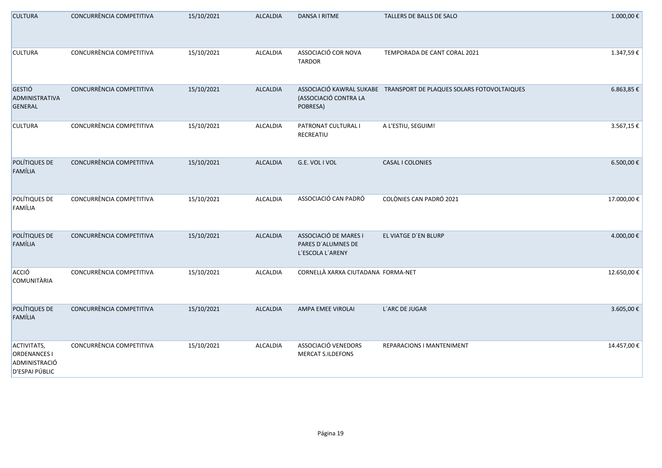| <b>CULTURA</b>                                                        | CONCURRÈNCIA COMPETITIVA | 15/10/2021 | <b>ALCALDIA</b> | DANSA I RITME                                                   | TALLERS DE BALLS DE SALO                                            | 1.000,00€   |
|-----------------------------------------------------------------------|--------------------------|------------|-----------------|-----------------------------------------------------------------|---------------------------------------------------------------------|-------------|
| <b>CULTURA</b>                                                        | CONCURRÈNCIA COMPETITIVA | 15/10/2021 | ALCALDIA        | ASSOCIACIÓ COR NOVA<br><b>TARDOR</b>                            | TEMPORADA DE CANT CORAL 2021                                        | 1.347,59€   |
| GESTIÓ<br>ADMINISTRATIVA<br>GENERAL                                   | CONCURRÈNCIA COMPETITIVA | 15/10/2021 | <b>ALCALDIA</b> | (ASSOCIACIÓ CONTRA LA<br>POBRESA)                               | ASSOCIACIÓ KAWRAL SUKABE TRANSPORT DE PLAQUES SOLARS FOTOVOLTAIQUES | 6.863,85 €  |
| <b>CULTURA</b>                                                        | CONCURRÈNCIA COMPETITIVA | 15/10/2021 | ALCALDIA        | PATRONAT CULTURAL I<br>RECREATIU                                | A L'ESTIU, SEGUIM!                                                  | 3.567,15 €  |
| POLÍTIQUES DE<br>FAMÍLIA                                              | CONCURRÈNCIA COMPETITIVA | 15/10/2021 | <b>ALCALDIA</b> | G.E. VOL I VOL                                                  | CASAL I COLONIES                                                    | 6.500,00 €  |
| POLÍTIQUES DE<br>FAMÍLIA                                              | CONCURRÈNCIA COMPETITIVA | 15/10/2021 | ALCALDIA        | ASSOCIACIÓ CAN PADRÓ                                            | COLÒNIES CAN PADRÓ 2021                                             | 17.000,00€  |
| POLÍTIQUES DE<br>FAMÍLIA                                              | CONCURRÈNCIA COMPETITIVA | 15/10/2021 | <b>ALCALDIA</b> | ASSOCIACIÓ DE MARES I<br>PARES D'ALUMNES DE<br>L'ESCOLA L'ARENY | EL VIATGE D'EN BLURP                                                | 4.000,00€   |
| ACCIÓ<br><b>COMUNITÀRIA</b>                                           | CONCURRÈNCIA COMPETITIVA | 15/10/2021 | ALCALDIA        | CORNELLÀ XARXA CIUTADANA FORMA-NET                              |                                                                     | 12.650,00 € |
| POLÍTIQUES DE<br>FAMÍLIA                                              | CONCURRÈNCIA COMPETITIVA | 15/10/2021 | <b>ALCALDIA</b> | AMPA EMEE VIROLAI                                               | L'ARC DE JUGAR                                                      | 3.605,00€   |
| ACTIVITATS,<br><b>ORDENANCES I</b><br>ADMINISTRACIÓ<br>D'ESPAI PÚBLIC | CONCURRÈNCIA COMPETITIVA | 15/10/2021 | ALCALDIA        | ASSOCIACIÓ VENEDORS<br><b>MERCAT S.ILDEFONS</b>                 | REPARACIONS I MANTENIMENT                                           | 14.457,00 € |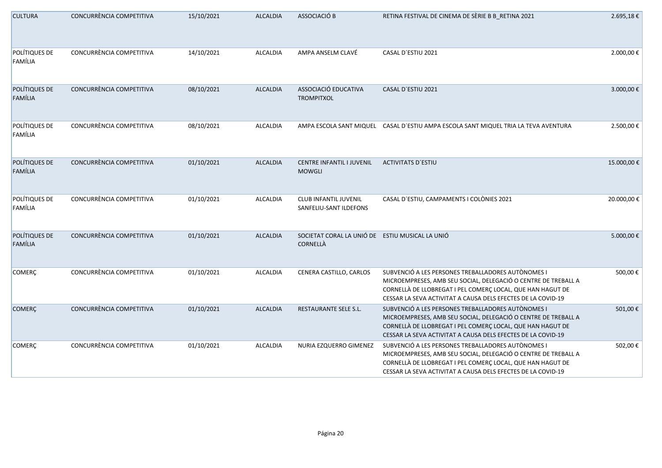| <b>CULTURA</b>           | CONCURRÈNCIA COMPETITIVA | 15/10/2021 | <b>ALCALDIA</b> | ASSOCIACIÓ B                                                | RETINA FESTIVAL DE CINEMA DE SÈRIE B B_RETINA 2021                                                                                                                                                                                                 | 2.695,18€   |
|--------------------------|--------------------------|------------|-----------------|-------------------------------------------------------------|----------------------------------------------------------------------------------------------------------------------------------------------------------------------------------------------------------------------------------------------------|-------------|
| POLÍTIQUES DE<br>FAMÍLIA | CONCURRÈNCIA COMPETITIVA | 14/10/2021 | ALCALDIA        | AMPA ANSELM CLAVÉ                                           | CASAL D'ESTIU 2021                                                                                                                                                                                                                                 | 2.000,00 €  |
| POLÍTIQUES DE<br>FAMÍLIA | CONCURRÈNCIA COMPETITIVA | 08/10/2021 | <b>ALCALDIA</b> | ASSOCIACIÓ EDUCATIVA<br><b>TROMPITXOL</b>                   | CASAL D'ESTIU 2021                                                                                                                                                                                                                                 | 3.000,00€   |
| POLÍTIQUES DE<br>FAMÍLIA | CONCURRÈNCIA COMPETITIVA | 08/10/2021 | ALCALDIA        |                                                             | AMPA ESCOLA SANT MIQUEL CASAL D'ESTIU AMPA ESCOLA SANT MIQUEL TRIA LA TEVA AVENTURA                                                                                                                                                                | 2.500,00€   |
| POLÍTIQUES DE<br>FAMÍLIA | CONCURRÈNCIA COMPETITIVA | 01/10/2021 | <b>ALCALDIA</b> | CENTRE INFANTIL I JUVENIL<br><b>MOWGLI</b>                  | <b>ACTIVITATS D'ESTIU</b>                                                                                                                                                                                                                          | 15.000,00€  |
| POLÍTIQUES DE<br>FAMÍLIA | CONCURRÈNCIA COMPETITIVA | 01/10/2021 | ALCALDIA        | <b>CLUB INFANTIL JUVENIL</b><br>SANFELIU-SANT ILDEFONS      | CASAL D'ESTIU, CAMPAMENTS I COLÒNIES 2021                                                                                                                                                                                                          | 20.000,00 € |
| POLÍTIQUES DE<br>FAMÍLIA | CONCURRÈNCIA COMPETITIVA | 01/10/2021 | ALCALDIA        | SOCIETAT CORAL LA UNIÓ DE ESTIU MUSICAL LA UNIÓ<br>CORNELLÀ |                                                                                                                                                                                                                                                    | 5.000,00 €  |
| COMERÇ                   | CONCURRÈNCIA COMPETITIVA | 01/10/2021 | ALCALDIA        | CENERA CASTILLO, CARLOS                                     | SUBVENCIÓ A LES PERSONES TREBALLADORES AUTÒNOMES I<br>MICROEMPRESES, AMB SEU SOCIAL, DELEGACIÓ O CENTRE DE TREBALL A<br>CORNELLÀ DE LLOBREGAT I PEL COMERÇ LOCAL, QUE HAN HAGUT DE<br>CESSAR LA SEVA ACTIVITAT A CAUSA DELS EFECTES DE LA COVID-19 | 500,00€     |
| <b>COMERÇ</b>            | CONCURRÈNCIA COMPETITIVA | 01/10/2021 | <b>ALCALDIA</b> | RESTAURANTE SELE S.L.                                       | SUBVENCIÓ A LES PERSONES TREBALLADORES AUTÒNOMES I<br>MICROEMPRESES, AMB SEU SOCIAL, DELEGACIÓ O CENTRE DE TREBALL A<br>CORNELLÀ DE LLOBREGAT I PEL COMERÇ LOCAL, QUE HAN HAGUT DE<br>CESSAR LA SEVA ACTIVITAT A CAUSA DELS EFECTES DE LA COVID-19 | 501,00€     |
| <b>COMERÇ</b>            | CONCURRÈNCIA COMPETITIVA | 01/10/2021 | ALCALDIA        | NURIA EZQUERRO GIMENEZ                                      | SUBVENCIÓ A LES PERSONES TREBALLADORES AUTÒNOMES I<br>MICROEMPRESES, AMB SEU SOCIAL, DELEGACIÓ O CENTRE DE TREBALL A<br>CORNELLÀ DE LLOBREGAT I PEL COMERÇ LOCAL, QUE HAN HAGUT DE<br>CESSAR LA SEVA ACTIVITAT A CAUSA DELS EFECTES DE LA COVID-19 | 502,00€     |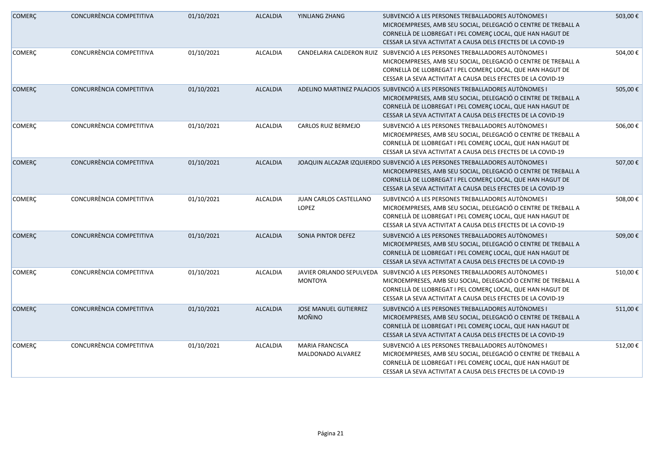| <b>COMERÇ</b> | CONCURRÈNCIA COMPETITIVA | 01/10/2021 | <b>ALCALDIA</b> | YINLIANG ZHANG                                | SUBVENCIÓ A LES PERSONES TREBALLADORES AUTÒNOMES I<br>MICROEMPRESES, AMB SEU SOCIAL, DELEGACIÓ O CENTRE DE TREBALL A<br>CORNELLÀ DE LLOBREGAT I PEL COMERÇ LOCAL, QUE HAN HAGUT DE<br>CESSAR LA SEVA ACTIVITAT A CAUSA DELS EFECTES DE LA COVID-19                           | 503,00€ |
|---------------|--------------------------|------------|-----------------|-----------------------------------------------|------------------------------------------------------------------------------------------------------------------------------------------------------------------------------------------------------------------------------------------------------------------------------|---------|
| <b>COMERÇ</b> | CONCURRÈNCIA COMPETITIVA | 01/10/2021 | ALCALDIA        | CANDELARIA CALDERON RUIZ                      | SUBVENCIÓ A LES PERSONES TREBALLADORES AUTÒNOMES I<br>MICROEMPRESES, AMB SEU SOCIAL, DELEGACIÓ O CENTRE DE TREBALL A<br>CORNELLÀ DE LLOBREGAT I PEL COMERÇ LOCAL, QUE HAN HAGUT DE<br>CESSAR LA SEVA ACTIVITAT A CAUSA DELS EFECTES DE LA COVID-19                           | 504,00€ |
| <b>COMERÇ</b> | CONCURRÈNCIA COMPETITIVA | 01/10/2021 | <b>ALCALDIA</b> |                                               | ADELINO MARTINEZ PALACIOS SUBVENCIÓ A LES PERSONES TREBALLADORES AUTÒNOMES I<br>MICROEMPRESES, AMB SEU SOCIAL, DELEGACIÓ O CENTRE DE TREBALL A<br>CORNELLÀ DE LLOBREGAT I PEL COMERÇ LOCAL, QUE HAN HAGUT DE<br>CESSAR LA SEVA ACTIVITAT A CAUSA DELS EFECTES DE LA COVID-19 | 505,00€ |
| <b>COMERÇ</b> | CONCURRÈNCIA COMPETITIVA | 01/10/2021 | ALCALDIA        | CARLOS RUIZ BERMEJO                           | SUBVENCIÓ A LES PERSONES TREBALLADORES AUTÒNOMES I<br>MICROEMPRESES, AMB SEU SOCIAL, DELEGACIÓ O CENTRE DE TREBALL A<br>CORNELLÀ DE LLOBREGAT I PEL COMERÇ LOCAL, QUE HAN HAGUT DE<br>CESSAR LA SEVA ACTIVITAT A CAUSA DELS EFECTES DE LA COVID-19                           | 506,00€ |
| <b>COMERÇ</b> | CONCURRÈNCIA COMPETITIVA | 01/10/2021 | <b>ALCALDIA</b> |                                               | JOAQUIN ALCAZAR IZQUIERDO SUBVENCIÓ A LES PERSONES TREBALLADORES AUTÒNOMES I<br>MICROEMPRESES, AMB SEU SOCIAL, DELEGACIÓ O CENTRE DE TREBALL A<br>CORNELLÀ DE LLOBREGAT I PEL COMERÇ LOCAL, QUE HAN HAGUT DE<br>CESSAR LA SEVA ACTIVITAT A CAUSA DELS EFECTES DE LA COVID-19 | 507,00€ |
| <b>COMERÇ</b> | CONCURRÈNCIA COMPETITIVA | 01/10/2021 | ALCALDIA        | JUAN CARLOS CASTELLANO<br>LOPEZ               | SUBVENCIÓ A LES PERSONES TREBALLADORES AUTÒNOMES I<br>MICROEMPRESES, AMB SEU SOCIAL, DELEGACIÓ O CENTRE DE TREBALL A<br>CORNELLÀ DE LLOBREGAT I PEL COMERÇ LOCAL, QUE HAN HAGUT DE<br>CESSAR LA SEVA ACTIVITAT A CAUSA DELS EFECTES DE LA COVID-19                           | 508,00€ |
| <b>COMERÇ</b> | CONCURRÈNCIA COMPETITIVA | 01/10/2021 | <b>ALCALDIA</b> | SONIA PINTOR DEFEZ                            | SUBVENCIÓ A LES PERSONES TREBALLADORES AUTÒNOMES I<br>MICROEMPRESES, AMB SEU SOCIAL, DELEGACIÓ O CENTRE DE TREBALL A<br>CORNELLÀ DE LLOBREGAT I PEL COMERÇ LOCAL, QUE HAN HAGUT DE<br>CESSAR LA SEVA ACTIVITAT A CAUSA DELS EFECTES DE LA COVID-19                           | 509,00€ |
| <b>COMERÇ</b> | CONCURRÈNCIA COMPETITIVA | 01/10/2021 | ALCALDIA        | JAVIER ORLANDO SEPULVEDA<br><b>MONTOYA</b>    | SUBVENCIÓ A LES PERSONES TREBALLADORES AUTÒNOMES I<br>MICROEMPRESES, AMB SEU SOCIAL, DELEGACIÓ O CENTRE DE TREBALL A<br>CORNELLÀ DE LLOBREGAT I PEL COMERÇ LOCAL, QUE HAN HAGUT DE<br>CESSAR LA SEVA ACTIVITAT A CAUSA DELS EFECTES DE LA COVID-19                           | 510,00€ |
| <b>COMERÇ</b> | CONCURRÈNCIA COMPETITIVA | 01/10/2021 | <b>ALCALDIA</b> | <b>JOSE MANUEL GUTIERREZ</b><br><b>MOÑINO</b> | SUBVENCIÓ A LES PERSONES TREBALLADORES AUTÒNOMES I<br>MICROEMPRESES, AMB SEU SOCIAL, DELEGACIÓ O CENTRE DE TREBALL A<br>CORNELLÀ DE LLOBREGAT I PEL COMERÇ LOCAL, QUE HAN HAGUT DE<br>CESSAR LA SEVA ACTIVITAT A CAUSA DELS EFECTES DE LA COVID-19                           | 511,00€ |
| COMERÇ        | CONCURRÈNCIA COMPETITIVA | 01/10/2021 | ALCALDIA        | <b>MARIA FRANCISCA</b><br>MALDONADO ALVAREZ   | SUBVENCIÓ A LES PERSONES TREBALLADORES AUTÒNOMES I<br>MICROEMPRESES, AMB SEU SOCIAL, DELEGACIÓ O CENTRE DE TREBALL A<br>CORNELLÀ DE LLOBREGAT I PEL COMERÇ LOCAL, QUE HAN HAGUT DE<br>CESSAR LA SEVA ACTIVITAT A CAUSA DELS EFECTES DE LA COVID-19                           | 512,00€ |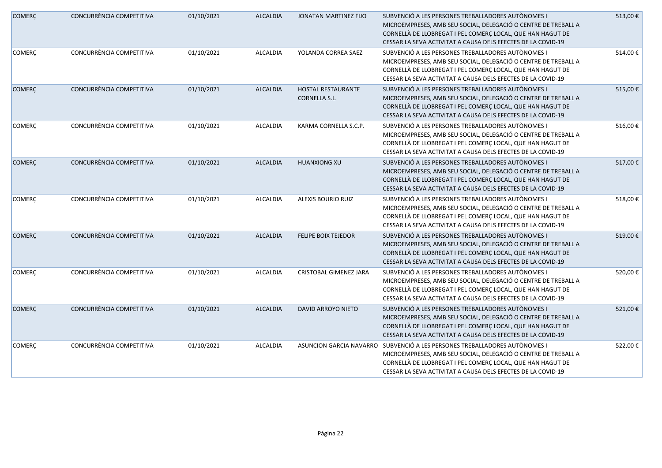| <b>COMERÇ</b> | CONCURRÈNCIA COMPETITIVA | 01/10/2021 | <b>ALCALDIA</b> | JONATAN MARTINEZ FIJO                             | SUBVENCIÓ A LES PERSONES TREBALLADORES AUTÒNOMES I<br>MICROEMPRESES, AMB SEU SOCIAL, DELEGACIÓ O CENTRE DE TREBALL A<br>CORNELLÀ DE LLOBREGAT I PEL COMERÇ LOCAL, QUE HAN HAGUT DE<br>CESSAR LA SEVA ACTIVITAT A CAUSA DELS EFECTES DE LA COVID-19                         | 513,00€ |
|---------------|--------------------------|------------|-----------------|---------------------------------------------------|----------------------------------------------------------------------------------------------------------------------------------------------------------------------------------------------------------------------------------------------------------------------------|---------|
| <b>COMERÇ</b> | CONCURRÈNCIA COMPETITIVA | 01/10/2021 | ALCALDIA        | YOLANDA CORREA SAEZ                               | SUBVENCIÓ A LES PERSONES TREBALLADORES AUTÒNOMES I<br>MICROEMPRESES, AMB SEU SOCIAL, DELEGACIÓ O CENTRE DE TREBALL A<br>CORNELLÀ DE LLOBREGAT I PEL COMERÇ LOCAL, QUE HAN HAGUT DE<br>CESSAR LA SEVA ACTIVITAT A CAUSA DELS EFECTES DE LA COVID-19                         | 514,00€ |
| <b>COMERÇ</b> | CONCURRÈNCIA COMPETITIVA | 01/10/2021 | <b>ALCALDIA</b> | <b>HOSTAL RESTAURANTE</b><br><b>CORNELLA S.L.</b> | SUBVENCIÓ A LES PERSONES TREBALLADORES AUTÒNOMES I<br>MICROEMPRESES, AMB SEU SOCIAL, DELEGACIÓ O CENTRE DE TREBALL A<br>CORNELLÀ DE LLOBREGAT I PEL COMERÇ LOCAL, QUE HAN HAGUT DE<br>CESSAR LA SEVA ACTIVITAT A CAUSA DELS EFECTES DE LA COVID-19                         | 515,00€ |
| <b>COMERÇ</b> | CONCURRÈNCIA COMPETITIVA | 01/10/2021 | ALCALDIA        | KARMA CORNELLA S.C.P.                             | SUBVENCIÓ A LES PERSONES TREBALLADORES AUTÒNOMES I<br>MICROEMPRESES, AMB SEU SOCIAL, DELEGACIÓ O CENTRE DE TREBALL A<br>CORNELLÀ DE LLOBREGAT I PEL COMERÇ LOCAL, QUE HAN HAGUT DE<br>CESSAR LA SEVA ACTIVITAT A CAUSA DELS EFECTES DE LA COVID-19                         | 516,00€ |
| <b>COMERÇ</b> | CONCURRÈNCIA COMPETITIVA | 01/10/2021 | <b>ALCALDIA</b> | <b>HUANXIONG XU</b>                               | SUBVENCIÓ A LES PERSONES TREBALLADORES AUTÒNOMES I<br>MICROEMPRESES, AMB SEU SOCIAL, DELEGACIÓ O CENTRE DE TREBALL A<br>CORNELLÀ DE LLOBREGAT I PEL COMERÇ LOCAL, QUE HAN HAGUT DE<br>CESSAR LA SEVA ACTIVITAT A CAUSA DELS EFECTES DE LA COVID-19                         | 517,00€ |
| <b>COMERÇ</b> | CONCURRÈNCIA COMPETITIVA | 01/10/2021 | ALCALDIA        | <b>ALEXIS BOURIO RUIZ</b>                         | SUBVENCIÓ A LES PERSONES TREBALLADORES AUTÒNOMES I<br>MICROEMPRESES, AMB SEU SOCIAL, DELEGACIÓ O CENTRE DE TREBALL A<br>CORNELLÀ DE LLOBREGAT I PEL COMERÇ LOCAL, QUE HAN HAGUT DE<br>CESSAR LA SEVA ACTIVITAT A CAUSA DELS EFECTES DE LA COVID-19                         | 518,00€ |
| <b>COMERÇ</b> | CONCURRÈNCIA COMPETITIVA | 01/10/2021 | <b>ALCALDIA</b> | <b>FELIPE BOIX TEJEDOR</b>                        | SUBVENCIÓ A LES PERSONES TREBALLADORES AUTÒNOMES I<br>MICROEMPRESES, AMB SEU SOCIAL, DELEGACIÓ O CENTRE DE TREBALL A<br>CORNELLÀ DE LLOBREGAT I PEL COMERÇ LOCAL, QUE HAN HAGUT DE<br>CESSAR LA SEVA ACTIVITAT A CAUSA DELS EFECTES DE LA COVID-19                         | 519,00€ |
| <b>COMERÇ</b> | CONCURRÈNCIA COMPETITIVA | 01/10/2021 | ALCALDIA        | CRISTOBAL GIMENEZ JARA                            | SUBVENCIÓ A LES PERSONES TREBALLADORES AUTÒNOMES I<br>MICROEMPRESES, AMB SEU SOCIAL, DELEGACIÓ O CENTRE DE TREBALL A<br>CORNELLÀ DE LLOBREGAT I PEL COMERÇ LOCAL, QUE HAN HAGUT DE<br>CESSAR LA SEVA ACTIVITAT A CAUSA DELS EFECTES DE LA COVID-19                         | 520,00€ |
| <b>COMERÇ</b> | CONCURRÈNCIA COMPETITIVA | 01/10/2021 | <b>ALCALDIA</b> | DAVID ARROYO NIETO                                | SUBVENCIÓ A LES PERSONES TREBALLADORES AUTÒNOMES I<br>MICROEMPRESES, AMB SEU SOCIAL, DELEGACIÓ O CENTRE DE TREBALL A<br>CORNELLÀ DE LLOBREGAT I PEL COMERÇ LOCAL, QUE HAN HAGUT DE<br>CESSAR LA SEVA ACTIVITAT A CAUSA DELS EFECTES DE LA COVID-19                         | 521,00€ |
| <b>COMERÇ</b> | CONCURRÈNCIA COMPETITIVA | 01/10/2021 | ALCALDIA        |                                                   | ASUNCION GARCIA NAVARRO SUBVENCIÓ A LES PERSONES TREBALLADORES AUTÒNOMES I<br>MICROEMPRESES, AMB SEU SOCIAL, DELEGACIÓ O CENTRE DE TREBALL A<br>CORNELLÀ DE LLOBREGAT I PEL COMERÇ LOCAL, QUE HAN HAGUT DE<br>CESSAR LA SEVA ACTIVITAT A CAUSA DELS EFECTES DE LA COVID-19 | 522,00€ |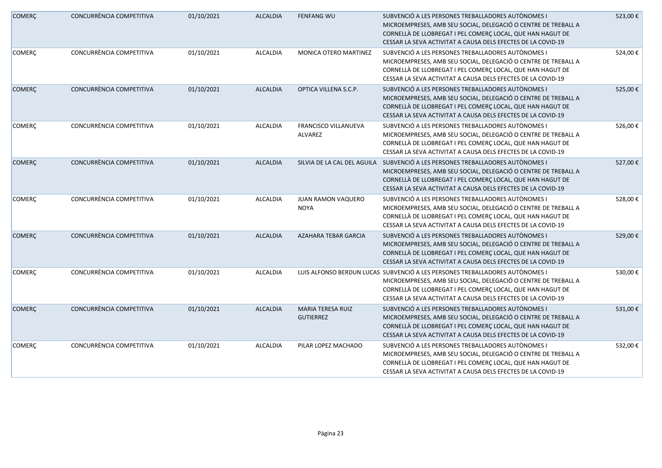| <b>COMERÇ</b> | CONCURRÈNCIA COMPETITIVA | 01/10/2021 | <b>ALCALDIA</b> | <b>FENFANG WU</b>                            | SUBVENCIÓ A LES PERSONES TREBALLADORES AUTÒNOMES I<br>MICROEMPRESES, AMB SEU SOCIAL, DELEGACIÓ O CENTRE DE TREBALL A<br>CORNELLÀ DE LLOBREGAT I PEL COMERÇ LOCAL, QUE HAN HAGUT DE<br>CESSAR LA SEVA ACTIVITAT A CAUSA DELS EFECTES DE LA COVID-19                           | 523,00€  |
|---------------|--------------------------|------------|-----------------|----------------------------------------------|------------------------------------------------------------------------------------------------------------------------------------------------------------------------------------------------------------------------------------------------------------------------------|----------|
| <b>COMERÇ</b> | CONCURRÈNCIA COMPETITIVA | 01/10/2021 | <b>ALCALDIA</b> | MONICA OTERO MARTINEZ                        | SUBVENCIÓ A LES PERSONES TREBALLADORES AUTÒNOMES I<br>MICROEMPRESES, AMB SEU SOCIAL, DELEGACIÓ O CENTRE DE TREBALL A<br>CORNELLÀ DE LLOBREGAT I PEL COMERC LOCAL, QUE HAN HAGUT DE<br>CESSAR LA SEVA ACTIVITAT A CAUSA DELS EFECTES DE LA COVID-19                           | 524,00€  |
| <b>COMERÇ</b> | CONCURRÈNCIA COMPETITIVA | 01/10/2021 | <b>ALCALDIA</b> | OPTICA VILLENA S.C.P.                        | SUBVENCIÓ A LES PERSONES TREBALLADORES AUTÒNOMES I<br>MICROEMPRESES, AMB SEU SOCIAL, DELEGACIÓ O CENTRE DE TREBALL A<br>CORNELLÀ DE LLOBREGAT I PEL COMERÇ LOCAL, QUE HAN HAGUT DE<br>CESSAR LA SEVA ACTIVITAT A CAUSA DELS EFECTES DE LA COVID-19                           | 525,00€  |
| <b>COMERÇ</b> | CONCURRÈNCIA COMPETITIVA | 01/10/2021 | ALCALDIA        | FRANCISCO VILLANUEVA<br>ALVAREZ              | SUBVENCIÓ A LES PERSONES TREBALLADORES AUTÒNOMES I<br>MICROEMPRESES, AMB SEU SOCIAL, DELEGACIÓ O CENTRE DE TREBALL A<br>CORNELLÀ DE LLOBREGAT I PEL COMERÇ LOCAL, QUE HAN HAGUT DE<br>CESSAR LA SEVA ACTIVITAT A CAUSA DELS EFECTES DE LA COVID-19                           | 526,00€  |
| <b>COMERÇ</b> | CONCURRÈNCIA COMPETITIVA | 01/10/2021 | <b>ALCALDIA</b> | SILVIA DE LA CAL DEL AGUILA                  | SUBVENCIÓ A LES PERSONES TREBALLADORES AUTÒNOMES I<br>MICROEMPRESES, AMB SEU SOCIAL, DELEGACIÓ O CENTRE DE TREBALL A<br>CORNELLÀ DE LLOBREGAT I PEL COMERÇ LOCAL, QUE HAN HAGUT DE<br>CESSAR LA SEVA ACTIVITAT A CAUSA DELS EFECTES DE LA COVID-19                           | 527,00€  |
| <b>COMERÇ</b> | CONCURRÈNCIA COMPETITIVA | 01/10/2021 | <b>ALCALDIA</b> | <b>JUAN RAMON VAQUERO</b><br><b>NOYA</b>     | SUBVENCIÓ A LES PERSONES TREBALLADORES AUTÒNOMES I<br>MICROEMPRESES, AMB SEU SOCIAL, DELEGACIÓ O CENTRE DE TREBALL A<br>CORNELLÀ DE LLOBREGAT I PEL COMERÇ LOCAL, QUE HAN HAGUT DE<br>CESSAR LA SEVA ACTIVITAT A CAUSA DELS EFECTES DE LA COVID-19                           | 528,00€  |
| <b>COMERÇ</b> | CONCURRÈNCIA COMPETITIVA | 01/10/2021 | <b>ALCALDIA</b> | <b>AZAHARA TEBAR GARCIA</b>                  | SUBVENCIÓ A LES PERSONES TREBALLADORES AUTÒNOMES I<br>MICROEMPRESES, AMB SEU SOCIAL, DELEGACIÓ O CENTRE DE TREBALL A<br>CORNELLÀ DE LLOBREGAT I PEL COMERÇ LOCAL, QUE HAN HAGUT DE<br>CESSAR LA SEVA ACTIVITAT A CAUSA DELS EFECTES DE LA COVID-19                           | 529,00€  |
| <b>COMERÇ</b> | CONCURRÈNCIA COMPETITIVA | 01/10/2021 | ALCALDIA        |                                              | LUIS ALFONSO BERDUN LUCAS SUBVENCIÓ A LES PERSONES TREBALLADORES AUTÒNOMES I<br>MICROEMPRESES, AMB SEU SOCIAL, DELEGACIÓ O CENTRE DE TREBALL A<br>CORNELLÀ DE LLOBREGAT I PEL COMERÇ LOCAL, QUE HAN HAGUT DE<br>CESSAR LA SEVA ACTIVITAT A CAUSA DELS EFECTES DE LA COVID-19 | 530,00€  |
| <b>COMERÇ</b> | CONCURRÈNCIA COMPETITIVA | 01/10/2021 | <b>ALCALDIA</b> | <b>MARIA TERESA RUIZ</b><br><b>GUTIERREZ</b> | SUBVENCIÓ A LES PERSONES TREBALLADORES AUTÒNOMES I<br>MICROEMPRESES, AMB SEU SOCIAL, DELEGACIÓ O CENTRE DE TREBALL A<br>CORNELLÀ DE LLOBREGAT I PEL COMERÇ LOCAL, QUE HAN HAGUT DE<br>CESSAR LA SEVA ACTIVITAT A CAUSA DELS EFECTES DE LA COVID-19                           | 531,00€  |
| <b>COMERÇ</b> | CONCURRÈNCIA COMPETITIVA | 01/10/2021 | ALCALDIA        | PILAR LOPEZ MACHADO                          | SUBVENCIÓ A LES PERSONES TREBALLADORES AUTÒNOMES I<br>MICROEMPRESES, AMB SEU SOCIAL, DELEGACIÓ O CENTRE DE TREBALL A<br>CORNELLÀ DE LLOBREGAT I PEL COMERÇ LOCAL, QUE HAN HAGUT DE<br>CESSAR LA SEVA ACTIVITAT A CAUSA DELS EFECTES DE LA COVID-19                           | 532,00 € |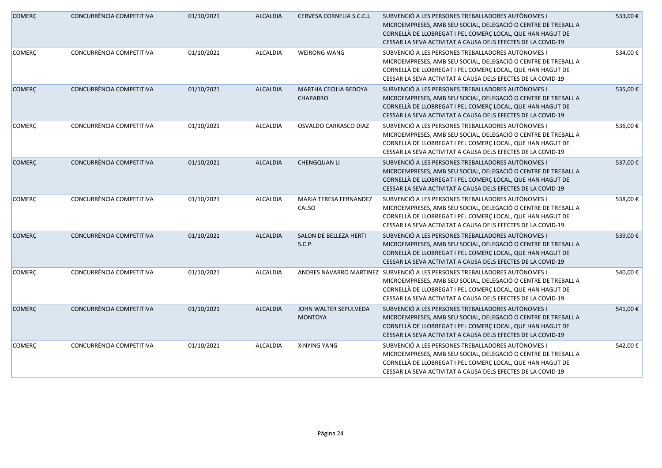| <b>COMERÇ</b> | CONCURRÈNCIA COMPETITIVA | 01/10/2021 | <b>ALCALDIA</b> | CERVESA CORNELIA S.C.C.L.                       | SUBVENCIÓ A LES PERSONES TREBALLADORES AUTÒNOMES I<br>MICROEMPRESES, AMB SEU SOCIAL, DELEGACIÓ O CENTRE DE TREBALL A<br>CORNELLÀ DE LLOBREGAT I PEL COMERÇ LOCAL, QUE HAN HAGUT DE<br>CESSAR LA SEVA ACTIVITAT A CAUSA DELS EFECTES DE LA COVID-19                         | 533,00€ |
|---------------|--------------------------|------------|-----------------|-------------------------------------------------|----------------------------------------------------------------------------------------------------------------------------------------------------------------------------------------------------------------------------------------------------------------------------|---------|
| <b>COMERÇ</b> | CONCURRÈNCIA COMPETITIVA | 01/10/2021 | ALCALDIA        | <b>WEIRONG WANG</b>                             | SUBVENCIÓ A LES PERSONES TREBALLADORES AUTÒNOMES I<br>MICROEMPRESES, AMB SEU SOCIAL, DELEGACIÓ O CENTRE DE TREBALL A<br>CORNELLÀ DE LLOBREGAT I PEL COMERÇ LOCAL, QUE HAN HAGUT DE<br>CESSAR LA SEVA ACTIVITAT A CAUSA DELS EFECTES DE LA COVID-19                         | 534,00€ |
| <b>COMERÇ</b> | CONCURRÈNCIA COMPETITIVA | 01/10/2021 | <b>ALCALDIA</b> | <b>MARTHA CECILIA BEDOYA</b><br><b>CHAPARRO</b> | SUBVENCIÓ A LES PERSONES TREBALLADORES AUTÒNOMES I<br>MICROEMPRESES, AMB SEU SOCIAL, DELEGACIÓ O CENTRE DE TREBALL A<br>CORNELLÀ DE LLOBREGAT I PEL COMERÇ LOCAL, QUE HAN HAGUT DE<br>CESSAR LA SEVA ACTIVITAT A CAUSA DELS EFECTES DE LA COVID-19                         | 535,00€ |
| <b>COMERÇ</b> | CONCURRÈNCIA COMPETITIVA | 01/10/2021 | ALCALDIA        | OSVALDO CARRASCO DIAZ                           | SUBVENCIÓ A LES PERSONES TREBALLADORES AUTÒNOMES I<br>MICROEMPRESES, AMB SEU SOCIAL, DELEGACIÓ O CENTRE DE TREBALL A<br>CORNELLÀ DE LLOBREGAT I PEL COMERÇ LOCAL, QUE HAN HAGUT DE<br>CESSAR LA SEVA ACTIVITAT A CAUSA DELS EFECTES DE LA COVID-19                         | 536,00€ |
| <b>COMERÇ</b> | CONCURRÈNCIA COMPETITIVA | 01/10/2021 | <b>ALCALDIA</b> | CHENGQUAN LI                                    | SUBVENCIÓ A LES PERSONES TREBALLADORES AUTÒNOMES I<br>MICROEMPRESES, AMB SEU SOCIAL, DELEGACIÓ O CENTRE DE TREBALL A<br>CORNELLÀ DE LLOBREGAT I PEL COMERÇ LOCAL, QUE HAN HAGUT DE<br>CESSAR LA SEVA ACTIVITAT A CAUSA DELS EFECTES DE LA COVID-19                         | 537,00€ |
| <b>COMERÇ</b> | CONCURRÈNCIA COMPETITIVA | 01/10/2021 | ALCALDIA        | MARIA TERESA FERNANDEZ<br>CALSO                 | SUBVENCIÓ A LES PERSONES TREBALLADORES AUTÒNOMES I<br>MICROEMPRESES, AMB SEU SOCIAL, DELEGACIÓ O CENTRE DE TREBALL A<br>CORNELLÀ DE LLOBREGAT I PEL COMERÇ LOCAL, QUE HAN HAGUT DE<br>CESSAR LA SEVA ACTIVITAT A CAUSA DELS EFECTES DE LA COVID-19                         | 538,00€ |
| <b>COMERÇ</b> | CONCURRÈNCIA COMPETITIVA | 01/10/2021 | <b>ALCALDIA</b> | SALON DE BELLEZA HERTI<br>S.C.P.                | SUBVENCIÓ A LES PERSONES TREBALLADORES AUTÒNOMES I<br>MICROEMPRESES, AMB SEU SOCIAL, DELEGACIÓ O CENTRE DE TREBALL A<br>CORNELLÀ DE LLOBREGAT I PEL COMERÇ LOCAL, QUE HAN HAGUT DE<br>CESSAR LA SEVA ACTIVITAT A CAUSA DELS EFECTES DE LA COVID-19                         | 539,00€ |
| <b>COMERÇ</b> | CONCURRÈNCIA COMPETITIVA | 01/10/2021 | ALCALDIA        |                                                 | ANDRES NAVARRO MARTINEZ SUBVENCIÓ A LES PERSONES TREBALLADORES AUTÒNOMES I<br>MICROEMPRESES, AMB SEU SOCIAL, DELEGACIÓ O CENTRE DE TREBALL A<br>CORNELLÀ DE LLOBREGAT I PEL COMERÇ LOCAL, QUE HAN HAGUT DE<br>CESSAR LA SEVA ACTIVITAT A CAUSA DELS EFECTES DE LA COVID-19 | 540,00€ |
| <b>COMERÇ</b> | CONCURRÈNCIA COMPETITIVA | 01/10/2021 | <b>ALCALDIA</b> | JOHN WALTER SEPULVEDA<br><b>MONTOYA</b>         | SUBVENCIÓ A LES PERSONES TREBALLADORES AUTÒNOMES I<br>MICROEMPRESES, AMB SEU SOCIAL, DELEGACIÓ O CENTRE DE TREBALL A<br>CORNELLÀ DE LLOBREGAT I PEL COMERÇ LOCAL, QUE HAN HAGUT DE<br>CESSAR LA SEVA ACTIVITAT A CAUSA DELS EFECTES DE LA COVID-19                         | 541,00€ |
| COMERÇ        | CONCURRÈNCIA COMPETITIVA | 01/10/2021 | ALCALDIA        | <b>XINYING YANG</b>                             | SUBVENCIÓ A LES PERSONES TREBALLADORES AUTÒNOMES I<br>MICROEMPRESES, AMB SEU SOCIAL, DELEGACIÓ O CENTRE DE TREBALL A<br>CORNELLÀ DE LLOBREGAT I PEL COMERÇ LOCAL, QUE HAN HAGUT DE<br>CESSAR LA SEVA ACTIVITAT A CAUSA DELS EFECTES DE LA COVID-19                         | 542,00€ |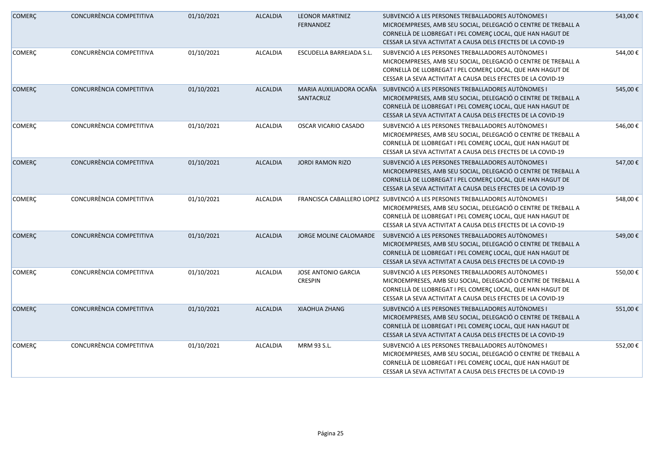| <b>COMERÇ</b> | CONCURRÈNCIA COMPETITIVA | 01/10/2021 | <b>ALCALDIA</b> | <b>LEONOR MARTINEZ</b><br>FERNANDEZ          | SUBVENCIÓ A LES PERSONES TREBALLADORES AUTÒNOMES I<br>MICROEMPRESES, AMB SEU SOCIAL, DELEGACIÓ O CENTRE DE TREBALL A<br>CORNELLÀ DE LLOBREGAT I PEL COMERÇ LOCAL, QUE HAN HAGUT DE<br>CESSAR LA SEVA ACTIVITAT A CAUSA DELS EFECTES DE LA COVID-19                           | 543,00€ |
|---------------|--------------------------|------------|-----------------|----------------------------------------------|------------------------------------------------------------------------------------------------------------------------------------------------------------------------------------------------------------------------------------------------------------------------------|---------|
| <b>COMERÇ</b> | CONCURRÈNCIA COMPETITIVA | 01/10/2021 | <b>ALCALDIA</b> | ESCUDELLA BARREJADA S.L.                     | SUBVENCIÓ A LES PERSONES TREBALLADORES AUTÒNOMES I<br>MICROEMPRESES, AMB SEU SOCIAL, DELEGACIÓ O CENTRE DE TREBALL A<br>CORNELLÀ DE LLOBREGAT I PEL COMERÇ LOCAL, QUE HAN HAGUT DE<br>CESSAR LA SEVA ACTIVITAT A CAUSA DELS EFECTES DE LA COVID-19                           | 544,00€ |
| <b>COMERÇ</b> | CONCURRÈNCIA COMPETITIVA | 01/10/2021 | <b>ALCALDIA</b> | MARIA AUXILIADORA OCAÑA<br>SANTACRUZ         | SUBVENCIÓ A LES PERSONES TREBALLADORES AUTÒNOMES I<br>MICROEMPRESES, AMB SEU SOCIAL, DELEGACIÓ O CENTRE DE TREBALL A<br>CORNELLÀ DE LLOBREGAT I PEL COMERÇ LOCAL, QUE HAN HAGUT DE<br>CESSAR LA SEVA ACTIVITAT A CAUSA DELS EFECTES DE LA COVID-19                           | 545,00€ |
| <b>COMERÇ</b> | CONCURRÈNCIA COMPETITIVA | 01/10/2021 | <b>ALCALDIA</b> | OSCAR VICARIO CASADO                         | SUBVENCIÓ A LES PERSONES TREBALLADORES AUTÒNOMES I<br>MICROEMPRESES, AMB SEU SOCIAL, DELEGACIÓ O CENTRE DE TREBALL A<br>CORNELLÀ DE LLOBREGAT I PEL COMERÇ LOCAL, QUE HAN HAGUT DE<br>CESSAR LA SEVA ACTIVITAT A CAUSA DELS EFECTES DE LA COVID-19                           | 546,00€ |
| <b>COMERÇ</b> | CONCURRÈNCIA COMPETITIVA | 01/10/2021 | <b>ALCALDIA</b> | <b>JORDI RAMON RIZO</b>                      | SUBVENCIÓ A LES PERSONES TREBALLADORES AUTÒNOMES I<br>MICROEMPRESES, AMB SEU SOCIAL, DELEGACIÓ O CENTRE DE TREBALL A<br>CORNELLÀ DE LLOBREGAT I PEL COMERÇ LOCAL, QUE HAN HAGUT DE<br>CESSAR LA SEVA ACTIVITAT A CAUSA DELS EFECTES DE LA COVID-19                           | 547,00€ |
| <b>COMERÇ</b> | CONCURRÈNCIA COMPETITIVA | 01/10/2021 | ALCALDIA        |                                              | FRANCISCA CABALLERO LOPEZ SUBVENCIÓ A LES PERSONES TREBALLADORES AUTÒNOMES I<br>MICROEMPRESES, AMB SEU SOCIAL, DELEGACIÓ O CENTRE DE TREBALL A<br>CORNELLÀ DE LLOBREGAT I PEL COMERÇ LOCAL, QUE HAN HAGUT DE<br>CESSAR LA SEVA ACTIVITAT A CAUSA DELS EFECTES DE LA COVID-19 | 548,00€ |
| <b>COMERÇ</b> | CONCURRÈNCIA COMPETITIVA | 01/10/2021 | <b>ALCALDIA</b> | <b>JORGE MOLINE CALOMARDE</b>                | SUBVENCIÓ A LES PERSONES TREBALLADORES AUTÒNOMES I<br>MICROEMPRESES, AMB SEU SOCIAL, DELEGACIÓ O CENTRE DE TREBALL A<br>CORNELLÀ DE LLOBREGAT I PEL COMERÇ LOCAL, QUE HAN HAGUT DE<br>CESSAR LA SEVA ACTIVITAT A CAUSA DELS EFECTES DE LA COVID-19                           | 549,00€ |
| <b>COMERÇ</b> | CONCURRÈNCIA COMPETITIVA | 01/10/2021 | <b>ALCALDIA</b> | <b>JOSE ANTONIO GARCIA</b><br><b>CRESPIN</b> | SUBVENCIÓ A LES PERSONES TREBALLADORES AUTÒNOMES I<br>MICROEMPRESES, AMB SEU SOCIAL, DELEGACIÓ O CENTRE DE TREBALL A<br>CORNELLÀ DE LLOBREGAT I PEL COMERÇ LOCAL, QUE HAN HAGUT DE<br>CESSAR LA SEVA ACTIVITAT A CAUSA DELS EFECTES DE LA COVID-19                           | 550,00€ |
| <b>COMERÇ</b> | CONCURRÈNCIA COMPETITIVA | 01/10/2021 | <b>ALCALDIA</b> | <b>XIAOHUA ZHANG</b>                         | SUBVENCIÓ A LES PERSONES TREBALLADORES AUTÒNOMES I<br>MICROEMPRESES, AMB SEU SOCIAL, DELEGACIÓ O CENTRE DE TREBALL A<br>CORNELLÀ DE LLOBREGAT I PEL COMERÇ LOCAL, QUE HAN HAGUT DE<br>CESSAR LA SEVA ACTIVITAT A CAUSA DELS EFECTES DE LA COVID-19                           | 551,00€ |
| COMERÇ        | CONCURRÈNCIA COMPETITIVA | 01/10/2021 | <b>ALCALDIA</b> | MRM 93 S.L.                                  | SUBVENCIÓ A LES PERSONES TREBALLADORES AUTÒNOMES I<br>MICROEMPRESES, AMB SEU SOCIAL, DELEGACIÓ O CENTRE DE TREBALL A<br>CORNELLÀ DE LLOBREGAT I PEL COMERÇ LOCAL, QUE HAN HAGUT DE<br>CESSAR LA SEVA ACTIVITAT A CAUSA DELS EFECTES DE LA COVID-19                           | 552,00€ |